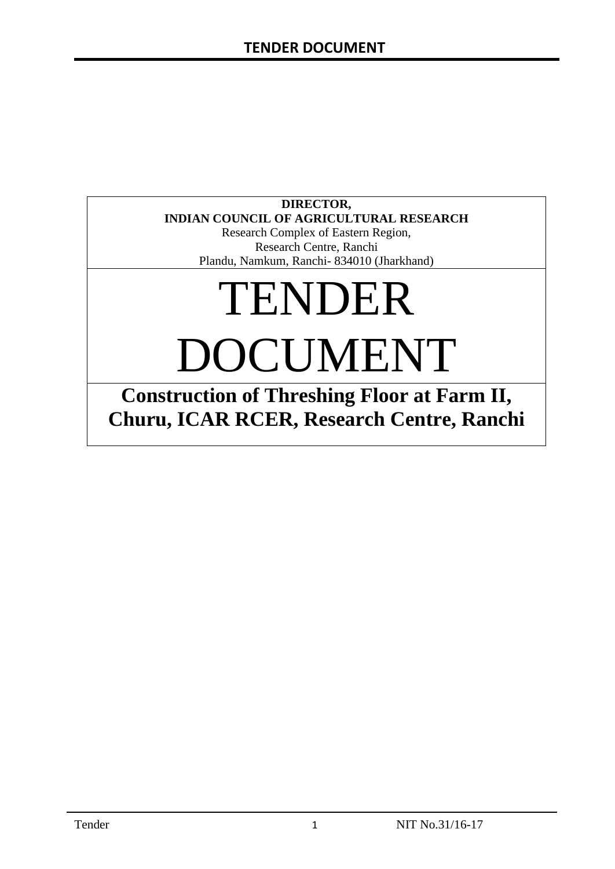# **DIRECTOR, INDIAN COUNCIL OF AGRICULTURAL RESEARCH**

Research Complex of Eastern Region, Research Centre, Ranchi Plandu, Namkum, Ranchi- 834010 (Jharkhand)

# TENDER DOCUMENT

**Construction of Threshing Floor at Farm II, Churu, ICAR RCER, Research Centre, Ranchi**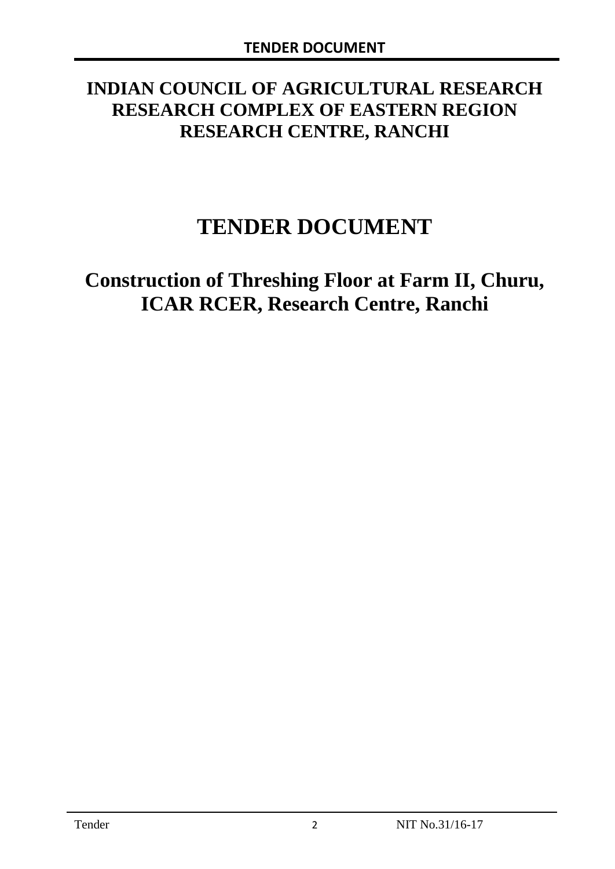# **INDIAN COUNCIL OF AGRICULTURAL RESEARCH RESEARCH COMPLEX OF EASTERN REGION RESEARCH CENTRE, RANCHI**

# **TENDER DOCUMENT**

# **Construction of Threshing Floor at Farm II, Churu, ICAR RCER, Research Centre, Ranchi**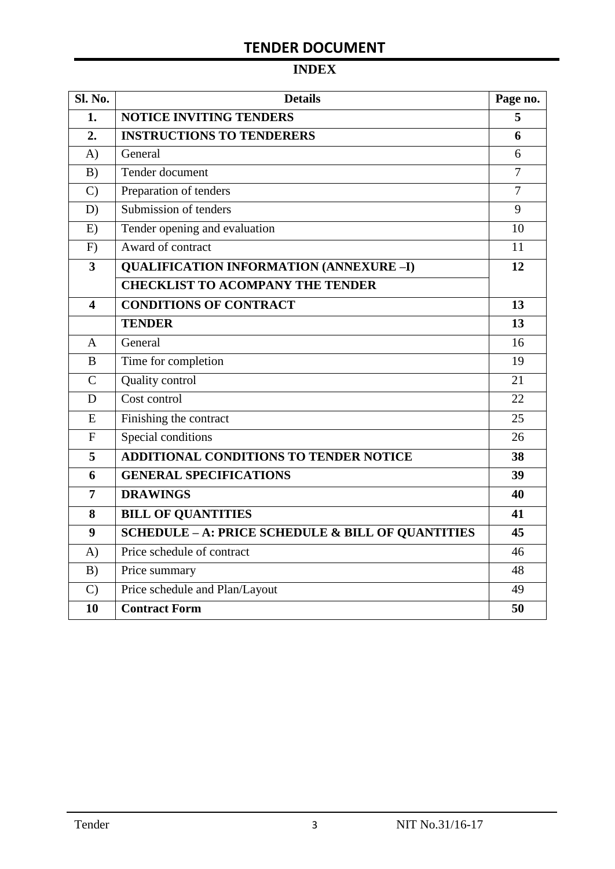# **TENDER DOCUMENT**

# **INDEX**

| Sl. No.                 | <b>Details</b>                                    | Page no.       |
|-------------------------|---------------------------------------------------|----------------|
| 1.                      | <b>NOTICE INVITING TENDERS</b>                    | 5              |
| 2.                      | <b>INSTRUCTIONS TO TENDERERS</b>                  | 6              |
| $\bf{A}$                | General                                           | 6              |
| B)                      | Tender document                                   | $\overline{7}$ |
| $\mathcal{C}$           | Preparation of tenders                            | $\overline{7}$ |
| D)                      | Submission of tenders                             | 9              |
| E)                      | Tender opening and evaluation                     | 10             |
| F)                      | Award of contract                                 | 11             |
| $\overline{\mathbf{3}}$ | <b>QUALIFICATION INFORMATION (ANNEXURE-I)</b>     | 12             |
|                         | <b>CHECKLIST TO ACOMPANY THE TENDER</b>           |                |
| $\overline{\mathbf{4}}$ | <b>CONDITIONS OF CONTRACT</b>                     | 13             |
|                         | <b>TENDER</b>                                     | 13             |
| $\overline{A}$          | General                                           | 16             |
| B                       | Time for completion                               | 19             |
| $\overline{C}$          | Quality control                                   | 21             |
| D                       | Cost control                                      | 22             |
| ${\bf E}$               | Finishing the contract                            | 25             |
| $\mathbf{F}$            | Special conditions                                | 26             |
| 5                       | ADDITIONAL CONDITIONS TO TENDER NOTICE            | 38             |
| 6                       | <b>GENERAL SPECIFICATIONS</b>                     | 39             |
| $\overline{7}$          | <b>DRAWINGS</b>                                   | 40             |
| 8                       | <b>BILL OF QUANTITIES</b>                         | 41             |
| 9                       | SCHEDULE - A: PRICE SCHEDULE & BILL OF QUANTITIES | 45             |
| A)                      | Price schedule of contract                        | 46             |
| B)                      | Price summary                                     | 48             |
| $\mathcal{C}$           | Price schedule and Plan/Layout                    | 49             |
| 10                      | <b>Contract Form</b>                              | 50             |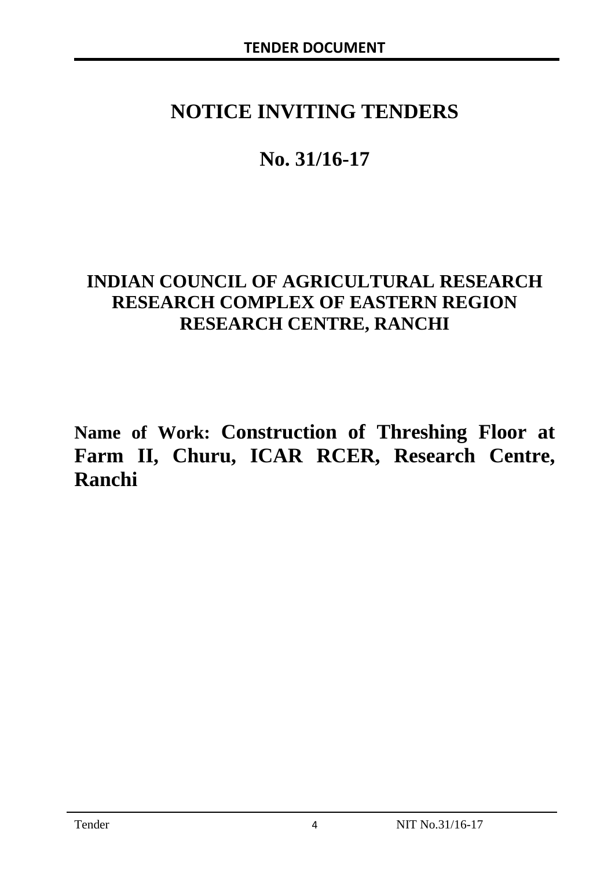# **NOTICE INVITING TENDERS**

# **No. 31/16-17**

# **INDIAN COUNCIL OF AGRICULTURAL RESEARCH RESEARCH COMPLEX OF EASTERN REGION RESEARCH CENTRE, RANCHI**

**Name of Work: Construction of Threshing Floor at Farm II, Churu, ICAR RCER, Research Centre, Ranchi**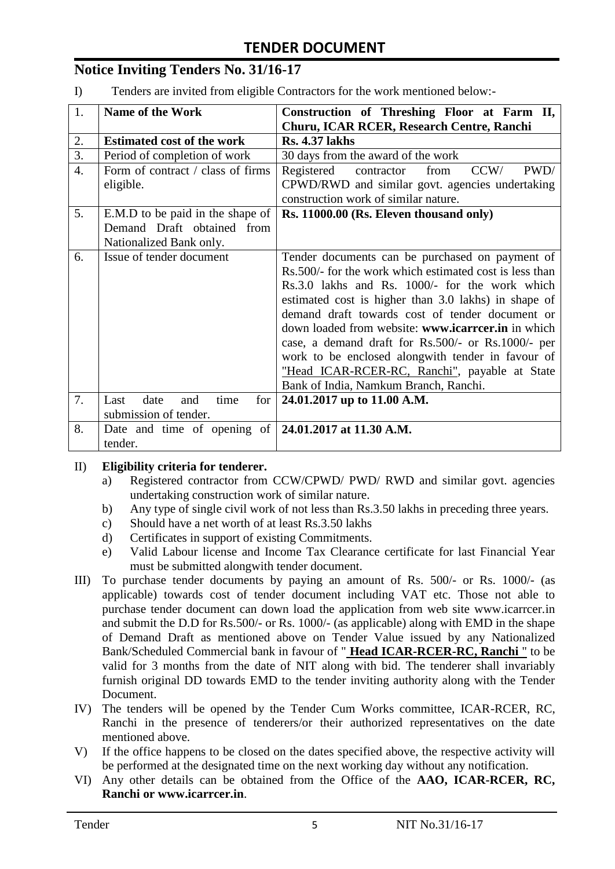# **Notice Inviting Tenders No. 31/16-17**

I) Tenders are invited from eligible Contractors for the work mentioned below:-

| 1.               | <b>Name of the Work</b>                                      | Construction of Threshing Floor at Farm II,              |
|------------------|--------------------------------------------------------------|----------------------------------------------------------|
|                  |                                                              | Churu, ICAR RCER, Research Centre, Ranchi                |
| 2.               | <b>Estimated cost of the work</b>                            | <b>Rs. 4.37 lakhs</b>                                    |
| $\overline{3}$ . | Period of completion of work                                 | 30 days from the award of the work                       |
| $\overline{4}$ . | Form of contract / class of firms                            | Registered<br>CCW/<br>PWD/<br>contractor<br>from         |
|                  | eligible.                                                    | CPWD/RWD and similar govt. agencies undertaking          |
|                  |                                                              | construction work of similar nature.                     |
| 5.               | E.M.D to be paid in the shape of                             | Rs. 11000.00 (Rs. Eleven thousand only)                  |
|                  | Demand Draft obtained from                                   |                                                          |
|                  | Nationalized Bank only.                                      |                                                          |
| 6.               | Issue of tender document                                     | Tender documents can be purchased on payment of          |
|                  |                                                              | Rs. 500/- for the work which estimated cost is less than |
|                  |                                                              | Rs.3.0 lakhs and Rs. 1000/- for the work which           |
|                  |                                                              | estimated cost is higher than 3.0 lakhs) in shape of     |
|                  |                                                              | demand draft towards cost of tender document or          |
|                  |                                                              | down loaded from website: www.icarrcer.in in which       |
|                  |                                                              | case, a demand draft for Rs.500/- or Rs.1000/- per       |
|                  |                                                              | work to be enclosed alongwith tender in favour of        |
|                  |                                                              | "Head ICAR-RCER-RC, Ranchi", payable at State            |
|                  |                                                              | Bank of India, Namkum Branch, Ranchi.                    |
| 7.               | date<br>Last<br>time<br>for<br>and                           | 24.01.2017 up to 11.00 A.M.                              |
|                  | submission of tender.                                        |                                                          |
| 8.               | Date and time of opening of $\vert$ 24.01.2017 at 11.30 A.M. |                                                          |
|                  | tender.                                                      |                                                          |

#### II) **Eligibility criteria for tenderer.**

- a) Registered contractor from CCW/CPWD/ PWD/ RWD and similar govt. agencies undertaking construction work of similar nature.
- b) Any type of single civil work of not less than Rs.3.50 lakhs in preceding three years.
- c) Should have a net worth of at least Rs.3.50 lakhs
- d) Certificates in support of existing Commitments.
- e) Valid Labour license and Income Tax Clearance certificate for last Financial Year must be submitted alongwith tender document.
- III) To purchase tender documents by paying an amount of Rs. 500/- or Rs. 1000/- (as applicable) towards cost of tender document including VAT etc. Those not able to purchase tender document can down load the application from web site www.icarrcer.in and submit the D.D for Rs.500/- or Rs. 1000/- (as applicable) along with EMD in the shape of Demand Draft as mentioned above on Tender Value issued by any Nationalized Bank/Scheduled Commercial bank in favour of " **Head ICAR-RCER-RC, Ranchi** " to be valid for 3 months from the date of NIT along with bid. The tenderer shall invariably furnish original DD towards EMD to the tender inviting authority along with the Tender Document.
- IV) The tenders will be opened by the Tender Cum Works committee, ICAR-RCER, RC, Ranchi in the presence of tenderers/or their authorized representatives on the date mentioned above.
- V) If the office happens to be closed on the dates specified above, the respective activity will be performed at the designated time on the next working day without any notification.
- VI) Any other details can be obtained from the Office of the **AAO, ICAR-RCER, RC, Ranchi or www.icarrcer.in**.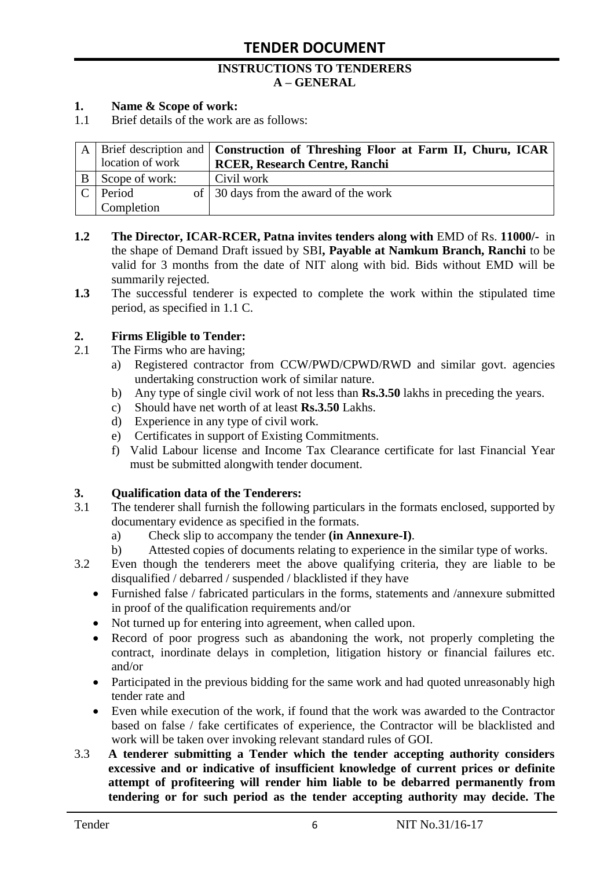#### **INSTRUCTIONS TO TENDERERS A – GENERAL**

#### **1. Name & Scope of work:**

1.1 Brief details of the work are as follows:

|                  | A   Brief description and   Construction of Threshing Floor at Farm II, Churu, ICAR |
|------------------|-------------------------------------------------------------------------------------|
| location of work | <b>RCER, Research Centre, Ranchi</b>                                                |
| Scope of work:   | Civil work                                                                          |
| Period           | of 30 days from the award of the work                                               |
| Completion       |                                                                                     |

- **1.2 The Director, ICAR-RCER, Patna invites tenders along with** EMD of Rs. **11000/-** in the shape of Demand Draft issued by SBI**, Payable at Namkum Branch, Ranchi** to be valid for 3 months from the date of NIT along with bid. Bids without EMD will be summarily rejected.
- **1.3** The successful tenderer is expected to complete the work within the stipulated time period, as specified in 1.1 C.

#### **2. Firms Eligible to Tender:**

- 2.1 The Firms who are having;
	- a) Registered contractor from CCW/PWD/CPWD/RWD and similar govt. agencies undertaking construction work of similar nature.
	- b) Any type of single civil work of not less than **Rs.3.50** lakhs in preceding the years.
	- c) Should have net worth of at least **Rs.3.50** Lakhs.
	- d) Experience in any type of civil work.
	- e) Certificates in support of Existing Commitments.
	- f) Valid Labour license and Income Tax Clearance certificate for last Financial Year must be submitted alongwith tender document.

#### **3. Qualification data of the Tenderers:**

- 3.1 The tenderer shall furnish the following particulars in the formats enclosed, supported by documentary evidence as specified in the formats.
	- a) Check slip to accompany the tender **(in Annexure-I)**.
	- b) Attested copies of documents relating to experience in the similar type of works.
- 3.2 Even though the tenderers meet the above qualifying criteria, they are liable to be disqualified / debarred / suspended / blacklisted if they have
	- Furnished false / fabricated particulars in the forms, statements and /annexure submitted in proof of the qualification requirements and/or
	- Not turned up for entering into agreement, when called upon.
	- Record of poor progress such as abandoning the work, not properly completing the contract, inordinate delays in completion, litigation history or financial failures etc. and/or
	- Participated in the previous bidding for the same work and had quoted unreasonably high tender rate and
	- Even while execution of the work, if found that the work was awarded to the Contractor based on false / fake certificates of experience, the Contractor will be blacklisted and work will be taken over invoking relevant standard rules of GOI.
- 3.3 **A tenderer submitting a Tender which the tender accepting authority considers excessive and or indicative of insufficient knowledge of current prices or definite attempt of profiteering will render him liable to be debarred permanently from tendering or for such period as the tender accepting authority may decide. The**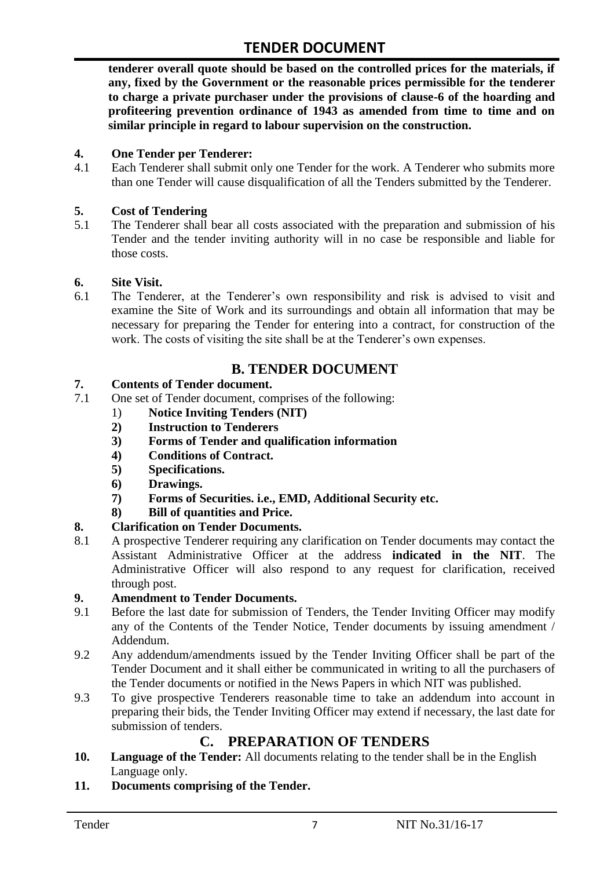**tenderer overall quote should be based on the controlled prices for the materials, if any, fixed by the Government or the reasonable prices permissible for the tenderer to charge a private purchaser under the provisions of clause-6 of the hoarding and profiteering prevention ordinance of 1943 as amended from time to time and on similar principle in regard to labour supervision on the construction.**

#### **4. One Tender per Tenderer:**

4.1 Each Tenderer shall submit only one Tender for the work. A Tenderer who submits more than one Tender will cause disqualification of all the Tenders submitted by the Tenderer.

#### **5. Cost of Tendering**

5.1 The Tenderer shall bear all costs associated with the preparation and submission of his Tender and the tender inviting authority will in no case be responsible and liable for those costs.

#### **6. Site Visit.**

6.1 The Tenderer, at the Tenderer"s own responsibility and risk is advised to visit and examine the Site of Work and its surroundings and obtain all information that may be necessary for preparing the Tender for entering into a contract, for construction of the work. The costs of visiting the site shall be at the Tenderer's own expenses.

## **B. TENDER DOCUMENT**

#### **7. Contents of Tender document.**

- 7.1 One set of Tender document, comprises of the following:
	- 1) **Notice Inviting Tenders (NIT)**
	- **2) Instruction to Tenderers**
	- **3) Forms of Tender and qualification information**
	- **4) Conditions of Contract.**
	- **5) Specifications.**
	- **6) Drawings.**
	- **7) Forms of Securities. i.e., EMD, Additional Security etc.**
	- **8) Bill of quantities and Price.**

#### **8. Clarification on Tender Documents.**

8.1 A prospective Tenderer requiring any clarification on Tender documents may contact the Assistant Administrative Officer at the address **indicated in the NIT**. The Administrative Officer will also respond to any request for clarification, received through post.

#### **9. Amendment to Tender Documents.**

- 9.1 Before the last date for submission of Tenders, the Tender Inviting Officer may modify any of the Contents of the Tender Notice, Tender documents by issuing amendment / Addendum.
- 9.2 Any addendum/amendments issued by the Tender Inviting Officer shall be part of the Tender Document and it shall either be communicated in writing to all the purchasers of the Tender documents or notified in the News Papers in which NIT was published.
- 9.3 To give prospective Tenderers reasonable time to take an addendum into account in preparing their bids, the Tender Inviting Officer may extend if necessary, the last date for submission of tenders.

### **C. PREPARATION OF TENDERS**

- **10. Language of the Tender:** All documents relating to the tender shall be in the English Language only.
- **11. Documents comprising of the Tender.**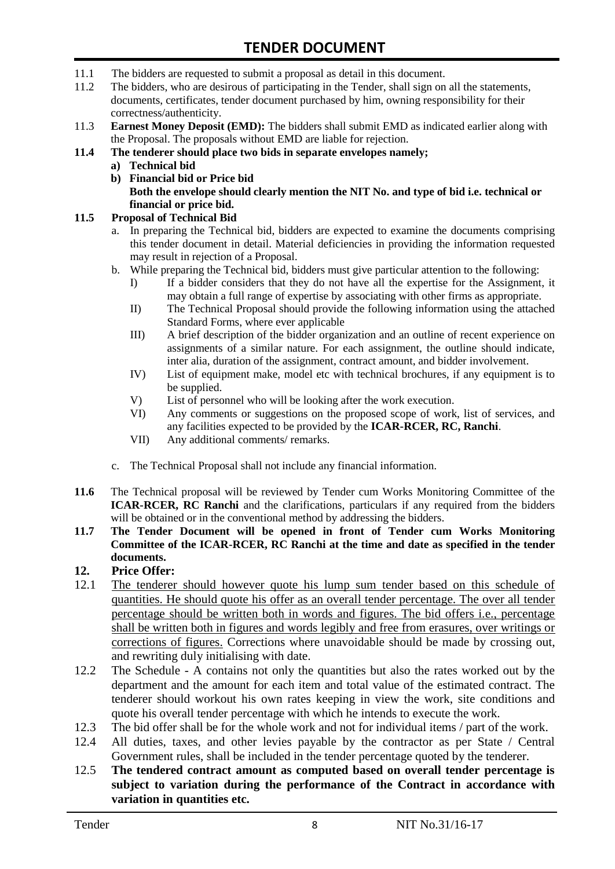- 11.1 The bidders are requested to submit a proposal as detail in this document.
- 11.2 The bidders, who are desirous of participating in the Tender, shall sign on all the statements, documents, certificates, tender document purchased by him, owning responsibility for their correctness/authenticity.
- 11.3 **Earnest Money Deposit (EMD):** The bidders shall submit EMD as indicated earlier along with the Proposal. The proposals without EMD are liable for rejection.

#### **11.4 The tenderer should place two bids in separate envelopes namely;**

- **a) Technical bid**
- **b) Financial bid or Price bid Both the envelope should clearly mention the NIT No. and type of bid i.e. technical or financial or price bid.**

#### **11.5 Proposal of Technical Bid**

- a. In preparing the Technical bid, bidders are expected to examine the documents comprising this tender document in detail. Material deficiencies in providing the information requested may result in rejection of a Proposal.
- b. While preparing the Technical bid, bidders must give particular attention to the following:
	- I) If a bidder considers that they do not have all the expertise for the Assignment, it may obtain a full range of expertise by associating with other firms as appropriate.
	- II) The Technical Proposal should provide the following information using the attached Standard Forms, where ever applicable
	- III) A brief description of the bidder organization and an outline of recent experience on assignments of a similar nature. For each assignment, the outline should indicate, inter alia, duration of the assignment, contract amount, and bidder involvement.
	- IV) List of equipment make, model etc with technical brochures, if any equipment is to be supplied.
	- V) List of personnel who will be looking after the work execution.
	- VI) Any comments or suggestions on the proposed scope of work, list of services, and any facilities expected to be provided by the **ICAR-RCER, RC, Ranchi**.
	- VII) Any additional comments/ remarks.
- c. The Technical Proposal shall not include any financial information.
- **11.6** The Technical proposal will be reviewed by Tender cum Works Monitoring Committee of the **ICAR-RCER, RC Ranchi** and the clarifications, particulars if any required from the bidders will be obtained or in the conventional method by addressing the bidders.
- **11.7 The Tender Document will be opened in front of Tender cum Works Monitoring Committee of the ICAR-RCER, RC Ranchi at the time and date as specified in the tender documents.**

### **12. Price Offer:**

- 12.1 The tenderer should however quote his lump sum tender based on this schedule of quantities. He should quote his offer as an overall tender percentage. The over all tender percentage should be written both in words and figures. The bid offers i.e., percentage shall be written both in figures and words legibly and free from erasures, over writings or corrections of figures. Corrections where unavoidable should be made by crossing out, and rewriting duly initialising with date.
- 12.2 The Schedule A contains not only the quantities but also the rates worked out by the department and the amount for each item and total value of the estimated contract. The tenderer should workout his own rates keeping in view the work, site conditions and quote his overall tender percentage with which he intends to execute the work.
- 12.3 The bid offer shall be for the whole work and not for individual items / part of the work.
- 12.4 All duties, taxes, and other levies payable by the contractor as per State / Central Government rules, shall be included in the tender percentage quoted by the tenderer.
- 12.5 **The tendered contract amount as computed based on overall tender percentage is subject to variation during the performance of the Contract in accordance with variation in quantities etc.**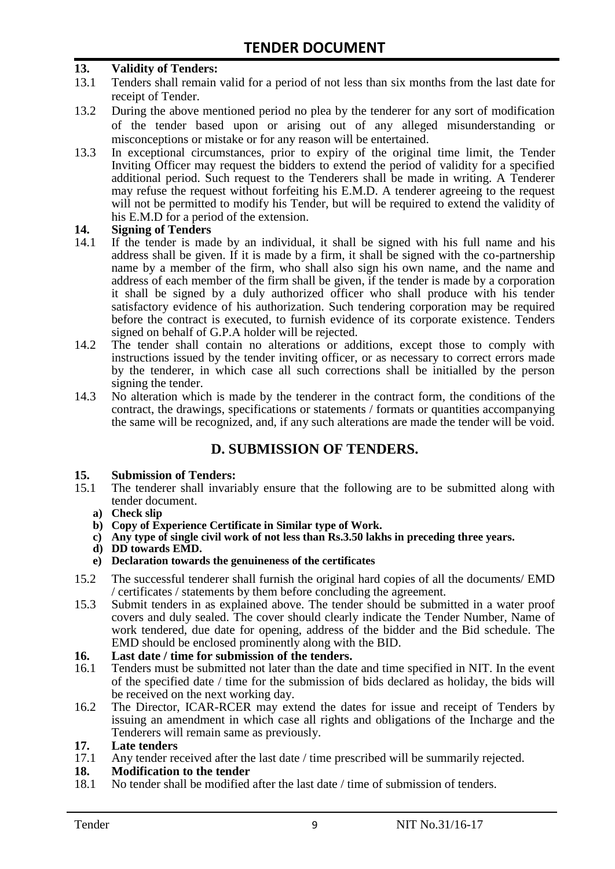#### **13. Validity of Tenders:**

- 13.1 Tenders shall remain valid for a period of not less than six months from the last date for receipt of Tender.
- 13.2 During the above mentioned period no plea by the tenderer for any sort of modification of the tender based upon or arising out of any alleged misunderstanding or misconceptions or mistake or for any reason will be entertained.
- 13.3 In exceptional circumstances, prior to expiry of the original time limit, the Tender Inviting Officer may request the bidders to extend the period of validity for a specified additional period. Such request to the Tenderers shall be made in writing. A Tenderer may refuse the request without forfeiting his E.M.D. A tenderer agreeing to the request will not be permitted to modify his Tender, but will be required to extend the validity of his E.M.D for a period of the extension.

# 14. **Signing of Tenders**<br>14.1 If the tender is made

- If the tender is made by an individual, it shall be signed with his full name and his address shall be given. If it is made by a firm, it shall be signed with the co-partnership name by a member of the firm, who shall also sign his own name, and the name and address of each member of the firm shall be given, if the tender is made by a corporation it shall be signed by a duly authorized officer who shall produce with his tender satisfactory evidence of his authorization. Such tendering corporation may be required before the contract is executed, to furnish evidence of its corporate existence. Tenders signed on behalf of G.P.A holder will be rejected.
- 14.2 The tender shall contain no alterations or additions, except those to comply with instructions issued by the tender inviting officer, or as necessary to correct errors made by the tenderer, in which case all such corrections shall be initialled by the person signing the tender.
- 14.3 No alteration which is made by the tenderer in the contract form, the conditions of the contract, the drawings, specifications or statements / formats or quantities accompanying the same will be recognized, and, if any such alterations are made the tender will be void.

# **D. SUBMISSION OF TENDERS.**

# **15. Submission of Tenders:**

- The tenderer shall invariably ensure that the following are to be submitted along with tender document.
	- **a) Check slip**
	- **b) Copy of Experience Certificate in Similar type of Work.**
	- **c) Any type of single civil work of not less than Rs.3.50 lakhs in preceding three years.**
	- **d) DD towards EMD.**
	- **e) Declaration towards the genuineness of the certificates**
- 15.2 The successful tenderer shall furnish the original hard copies of all the documents/ EMD / certificates / statements by them before concluding the agreement.
- 15.3 Submit tenders in as explained above. The tender should be submitted in a water proof covers and duly sealed. The cover should clearly indicate the Tender Number, Name of work tendered, due date for opening, address of the bidder and the Bid schedule. The EMD should be enclosed prominently along with the BID.

# **16. Last date / time for submission of the tenders.**

- 16.1 Tenders must be submitted not later than the date and time specified in NIT. In the event of the specified date / time for the submission of bids declared as holiday, the bids will be received on the next working day.
- 16.2 The Director, ICAR-RCER may extend the dates for issue and receipt of Tenders by issuing an amendment in which case all rights and obligations of the Incharge and the Tenderers will remain same as previously.

# **17. Late tenders**

Any tender received after the last date / time prescribed will be summarily rejected.

# **18. Modification to the tender**<br>18.1 No tender shall be modified

No tender shall be modified after the last date / time of submission of tenders.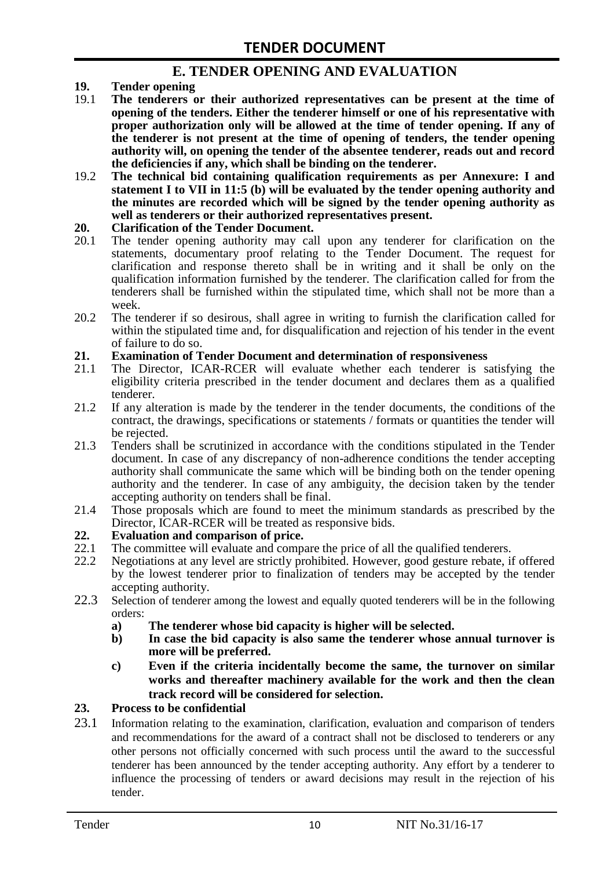# **E. TENDER OPENING AND EVALUATION**

- **19. Tender opening**
- 19.1 **The tenderers or their authorized representatives can be present at the time of opening of the tenders. Either the tenderer himself or one of his representative with proper authorization only will be allowed at the time of tender opening. If any of the tenderer is not present at the time of opening of tenders, the tender opening authority will, on opening the tender of the absentee tenderer, reads out and record the deficiencies if any, which shall be binding on the tenderer.**
- 19.2 **The technical bid containing qualification requirements as per Annexure: I and statement I to VII in 11:5 (b) will be evaluated by the tender opening authority and the minutes are recorded which will be signed by the tender opening authority as well as tenderers or their authorized representatives present.**

#### **20. Clarification of the Tender Document.**

- 20.1 The tender opening authority may call upon any tenderer for clarification on the statements, documentary proof relating to the Tender Document. The request for clarification and response thereto shall be in writing and it shall be only on the qualification information furnished by the tenderer. The clarification called for from the tenderers shall be furnished within the stipulated time, which shall not be more than a week.
- 20.2 The tenderer if so desirous, shall agree in writing to furnish the clarification called for within the stipulated time and, for disqualification and rejection of his tender in the event of failure to do so.

# **21. Examination of Tender Document and determination of responsiveness**

- 21.1 The Director, ICAR-RCER will evaluate whether each tenderer is satisfying the eligibility criteria prescribed in the tender document and declares them as a qualified tenderer.
- 21.2 If any alteration is made by the tenderer in the tender documents, the conditions of the contract, the drawings, specifications or statements / formats or quantities the tender will be rejected.
- 21.3 Tenders shall be scrutinized in accordance with the conditions stipulated in the Tender document. In case of any discrepancy of non-adherence conditions the tender accepting authority shall communicate the same which will be binding both on the tender opening authority and the tenderer. In case of any ambiguity, the decision taken by the tender accepting authority on tenders shall be final.
- 21.4 Those proposals which are found to meet the minimum standards as prescribed by the Director, ICAR-RCER will be treated as responsive bids.

# **22. Evaluation and comparison of price.**

- The committee will evaluate and compare the price of all the qualified tenderers.
- 22.2 Negotiations at any level are strictly prohibited. However, good gesture rebate, if offered by the lowest tenderer prior to finalization of tenders may be accepted by the tender accepting authority.
- 22.3 Selection of tenderer among the lowest and equally quoted tenderers will be in the following orders:
	- **a) The tenderer whose bid capacity is higher will be selected.**
	- **b) In case the bid capacity is also same the tenderer whose annual turnover is more will be preferred.**
	- **c) Even if the criteria incidentally become the same, the turnover on similar works and thereafter machinery available for the work and then the clean track record will be considered for selection.**

#### **23. Process to be confidential**

23.1 Information relating to the examination, clarification, evaluation and comparison of tenders and recommendations for the award of a contract shall not be disclosed to tenderers or any other persons not officially concerned with such process until the award to the successful tenderer has been announced by the tender accepting authority. Any effort by a tenderer to influence the processing of tenders or award decisions may result in the rejection of his tender.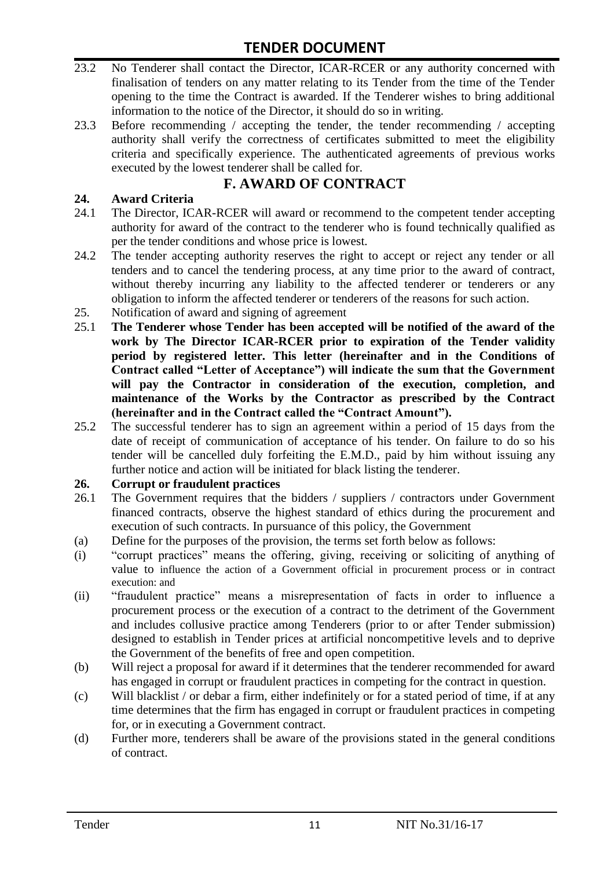- 23.2 No Tenderer shall contact the Director, ICAR-RCER or any authority concerned with finalisation of tenders on any matter relating to its Tender from the time of the Tender opening to the time the Contract is awarded. If the Tenderer wishes to bring additional information to the notice of the Director, it should do so in writing.
- 23.3 Before recommending / accepting the tender, the tender recommending / accepting authority shall verify the correctness of certificates submitted to meet the eligibility criteria and specifically experience. The authenticated agreements of previous works executed by the lowest tenderer shall be called for.

# **F. AWARD OF CONTRACT**

### **24. Award Criteria**

- 24.1 The Director, ICAR-RCER will award or recommend to the competent tender accepting authority for award of the contract to the tenderer who is found technically qualified as per the tender conditions and whose price is lowest.
- 24.2 The tender accepting authority reserves the right to accept or reject any tender or all tenders and to cancel the tendering process, at any time prior to the award of contract, without thereby incurring any liability to the affected tenderer or tenderers or any obligation to inform the affected tenderer or tenderers of the reasons for such action.
- 25. Notification of award and signing of agreement
- 25.1 **The Tenderer whose Tender has been accepted will be notified of the award of the work by The Director ICAR-RCER prior to expiration of the Tender validity period by registered letter. This letter (hereinafter and in the Conditions of Contract called "Letter of Acceptance") will indicate the sum that the Government will pay the Contractor in consideration of the execution, completion, and maintenance of the Works by the Contractor as prescribed by the Contract (hereinafter and in the Contract called the "Contract Amount").**
- 25.2 The successful tenderer has to sign an agreement within a period of 15 days from the date of receipt of communication of acceptance of his tender. On failure to do so his tender will be cancelled duly forfeiting the E.M.D., paid by him without issuing any further notice and action will be initiated for black listing the tenderer.

#### **26. Corrupt or fraudulent practices**

- 26.1 The Government requires that the bidders / suppliers / contractors under Government financed contracts, observe the highest standard of ethics during the procurement and execution of such contracts. In pursuance of this policy, the Government
- (a) Define for the purposes of the provision, the terms set forth below as follows:
- (i) "corrupt practices" means the offering, giving, receiving or soliciting of anything of value to influence the action of a Government official in procurement process or in contract execution: and
- (ii) "fraudulent practice" means a misrepresentation of facts in order to influence a procurement process or the execution of a contract to the detriment of the Government and includes collusive practice among Tenderers (prior to or after Tender submission) designed to establish in Tender prices at artificial noncompetitive levels and to deprive the Government of the benefits of free and open competition.
- (b) Will reject a proposal for award if it determines that the tenderer recommended for award has engaged in corrupt or fraudulent practices in competing for the contract in question.
- (c) Will blacklist / or debar a firm, either indefinitely or for a stated period of time, if at any time determines that the firm has engaged in corrupt or fraudulent practices in competing for, or in executing a Government contract.
- (d) Further more, tenderers shall be aware of the provisions stated in the general conditions of contract.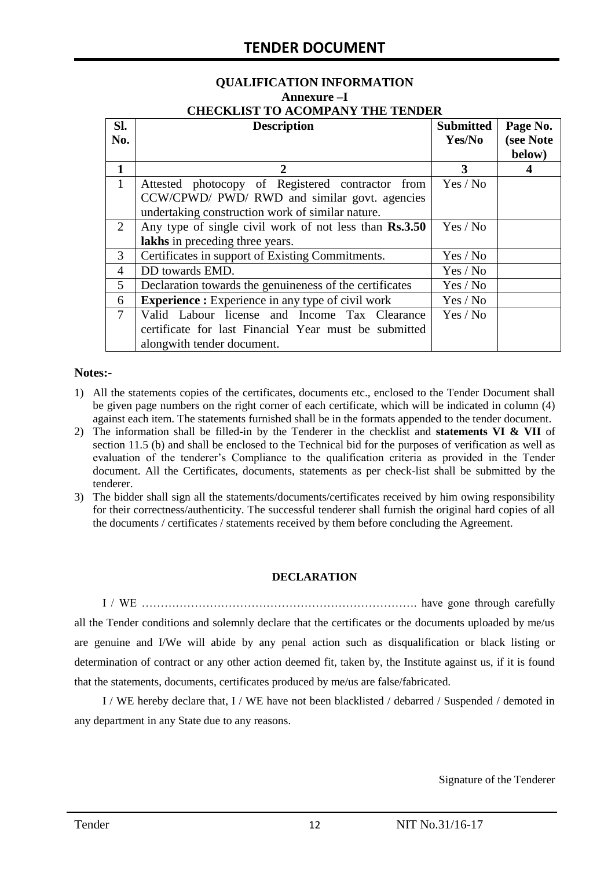#### **QUALIFICATION INFORMATION Annexure –I CHECKLIST TO ACOMPANY THE TENDER**

| Sl.            | <b>Description</b>                                       | <b>Submitted</b> | Page No.  |
|----------------|----------------------------------------------------------|------------------|-----------|
| No.            |                                                          | Yes/No           | (see Note |
|                |                                                          |                  | below)    |
| $\mathbf{1}$   | 2                                                        | 3                |           |
| $\mathbf{1}$   | Attested photocopy of Registered contractor from         | Yes / No         |           |
|                | CCW/CPWD/ PWD/ RWD and similar govt. agencies            |                  |           |
|                | undertaking construction work of similar nature.         |                  |           |
| 2              | Any type of single civil work of not less than Rs.3.50   | Yes / No         |           |
|                | lakhs in preceding three years.                          |                  |           |
| 3              | Certificates in support of Existing Commitments.         | Yes / No         |           |
| $\overline{4}$ | DD towards EMD.                                          | Yes / No         |           |
| 5              | Declaration towards the genuineness of the certificates  | Yes / No         |           |
| 6              | <b>Experience :</b> Experience in any type of civil work | Yes / No         |           |
| $\tau$         | Valid Labour license and Income Tax Clearance            | Yes / No         |           |
|                | certificate for last Financial Year must be submitted    |                  |           |
|                | alongwith tender document.                               |                  |           |

#### **Notes:-**

- 1) All the statements copies of the certificates, documents etc., enclosed to the Tender Document shall be given page numbers on the right corner of each certificate, which will be indicated in column (4) against each item. The statements furnished shall be in the formats appended to the tender document.
- 2) The information shall be filled-in by the Tenderer in the checklist and **statements VI & VII** of section 11.5 (b) and shall be enclosed to the Technical bid for the purposes of verification as well as evaluation of the tenderer"s Compliance to the qualification criteria as provided in the Tender document. All the Certificates, documents, statements as per check-list shall be submitted by the tenderer.
- 3) The bidder shall sign all the statements/documents/certificates received by him owing responsibility for their correctness/authenticity. The successful tenderer shall furnish the original hard copies of all the documents / certificates / statements received by them before concluding the Agreement.

#### **DECLARATION**

I / WE ………………………………………………………………. have gone through carefully all the Tender conditions and solemnly declare that the certificates or the documents uploaded by me/us are genuine and I/We will abide by any penal action such as disqualification or black listing or determination of contract or any other action deemed fit, taken by, the Institute against us, if it is found that the statements, documents, certificates produced by me/us are false/fabricated.

I / WE hereby declare that, I / WE have not been blacklisted / debarred / Suspended / demoted in any department in any State due to any reasons.

Signature of the Tenderer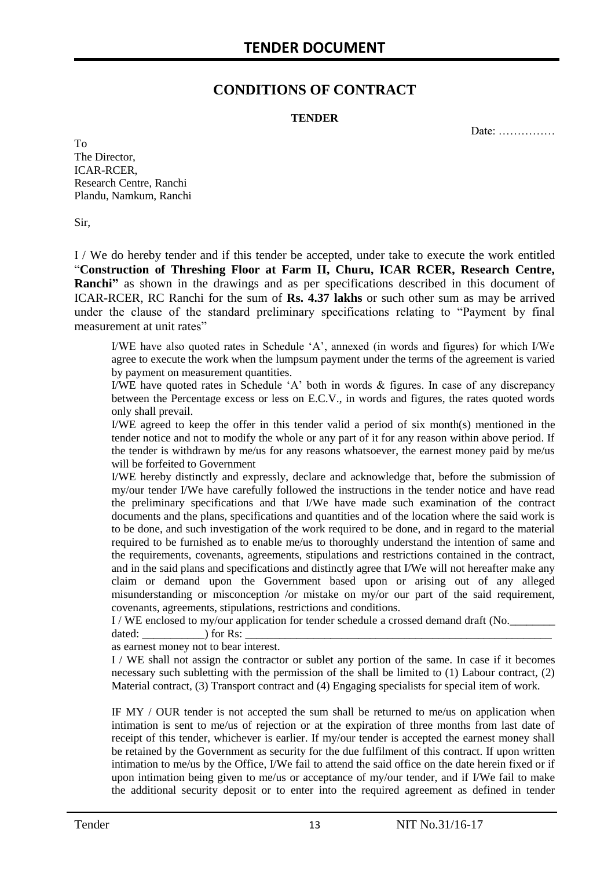# **CONDITIONS OF CONTRACT**

#### **TENDER**

Date: ……………

To The Director, ICAR-RCER, Research Centre, Ranchi Plandu, Namkum, Ranchi

Sir,

I / We do hereby tender and if this tender be accepted, under take to execute the work entitled "**Construction of Threshing Floor at Farm II, Churu, ICAR RCER, Research Centre, Ranchi"** as shown in the drawings and as per specifications described in this document of ICAR-RCER, RC Ranchi for the sum of **Rs. 4.37 lakhs** or such other sum as may be arrived under the clause of the standard preliminary specifications relating to "Payment by final measurement at unit rates"

I/WE have also quoted rates in Schedule "A", annexed (in words and figures) for which I/We agree to execute the work when the lumpsum payment under the terms of the agreement is varied by payment on measurement quantities.

I/WE have quoted rates in Schedule "A" both in words & figures. In case of any discrepancy between the Percentage excess or less on E.C.V., in words and figures, the rates quoted words only shall prevail.

I/WE agreed to keep the offer in this tender valid a period of six month(s) mentioned in the tender notice and not to modify the whole or any part of it for any reason within above period. If the tender is withdrawn by me/us for any reasons whatsoever, the earnest money paid by me/us will be forfeited to Government

I/WE hereby distinctly and expressly, declare and acknowledge that, before the submission of my/our tender I/We have carefully followed the instructions in the tender notice and have read the preliminary specifications and that I/We have made such examination of the contract documents and the plans, specifications and quantities and of the location where the said work is to be done, and such investigation of the work required to be done, and in regard to the material required to be furnished as to enable me/us to thoroughly understand the intention of same and the requirements, covenants, agreements, stipulations and restrictions contained in the contract, and in the said plans and specifications and distinctly agree that I/We will not hereafter make any claim or demand upon the Government based upon or arising out of any alleged misunderstanding or misconception /or mistake on my/or our part of the said requirement, covenants, agreements, stipulations, restrictions and conditions.

I / WE enclosed to my/our application for tender schedule a crossed demand draft (No.

dated: \_\_\_\_\_\_\_\_\_\_\_) for Rs: \_\_\_\_\_\_\_\_\_\_\_\_\_\_\_\_\_\_\_\_\_\_\_\_\_\_\_\_\_\_\_\_\_\_\_\_\_\_\_\_\_\_\_\_\_\_\_\_\_\_\_\_\_\_ as earnest money not to bear interest.

I / WE shall not assign the contractor or sublet any portion of the same. In case if it becomes necessary such subletting with the permission of the shall be limited to (1) Labour contract, (2) Material contract, (3) Transport contract and (4) Engaging specialists for special item of work.

IF MY / OUR tender is not accepted the sum shall be returned to me/us on application when intimation is sent to me/us of rejection or at the expiration of three months from last date of receipt of this tender, whichever is earlier. If my/our tender is accepted the earnest money shall be retained by the Government as security for the due fulfilment of this contract. If upon written intimation to me/us by the Office, I/We fail to attend the said office on the date herein fixed or if upon intimation being given to me/us or acceptance of my/our tender, and if I/We fail to make the additional security deposit or to enter into the required agreement as defined in tender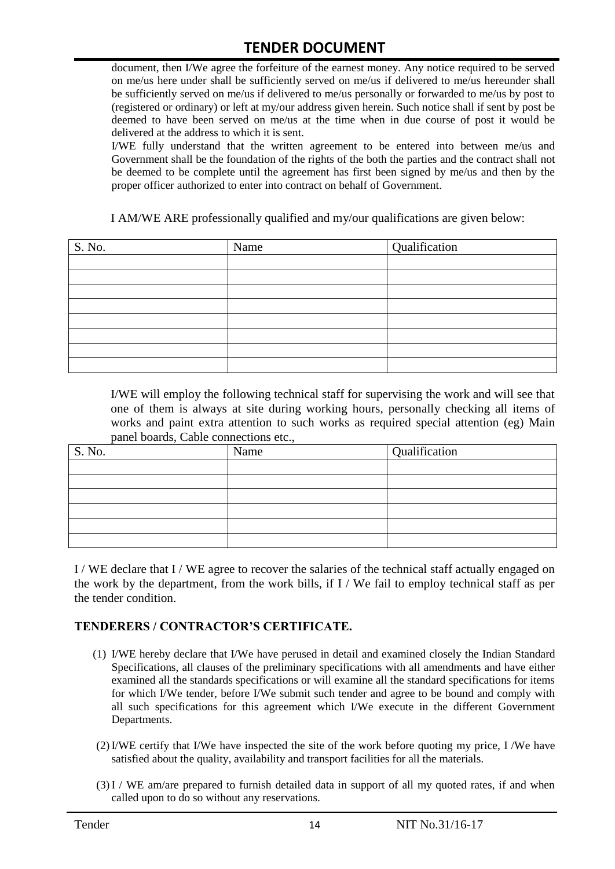# **TENDER DOCUMENT**

document, then I/We agree the forfeiture of the earnest money. Any notice required to be served on me/us here under shall be sufficiently served on me/us if delivered to me/us hereunder shall be sufficiently served on me/us if delivered to me/us personally or forwarded to me/us by post to (registered or ordinary) or left at my/our address given herein. Such notice shall if sent by post be deemed to have been served on me/us at the time when in due course of post it would be delivered at the address to which it is sent.

I/WE fully understand that the written agreement to be entered into between me/us and Government shall be the foundation of the rights of the both the parties and the contract shall not be deemed to be complete until the agreement has first been signed by me/us and then by the proper officer authorized to enter into contract on behalf of Government.

I AM/WE ARE professionally qualified and my/our qualifications are given below:

| S. No. | Name | Qualification |
|--------|------|---------------|
|        |      |               |
|        |      |               |
|        |      |               |
|        |      |               |
|        |      |               |
|        |      |               |
|        |      |               |
|        |      |               |

I/WE will employ the following technical staff for supervising the work and will see that one of them is always at site during working hours, personally checking all items of works and paint extra attention to such works as required special attention (eg) Main panel boards, Cable connections etc.,

| $\overline{\phantom{a}}$<br>S. No. | Name | Qualification |
|------------------------------------|------|---------------|
|                                    |      |               |
|                                    |      |               |
|                                    |      |               |
|                                    |      |               |
|                                    |      |               |
|                                    |      |               |

I / WE declare that I / WE agree to recover the salaries of the technical staff actually engaged on the work by the department, from the work bills, if I / We fail to employ technical staff as per the tender condition.

#### **TENDERERS / CONTRACTOR'S CERTIFICATE.**

- (1) I/WE hereby declare that I/We have perused in detail and examined closely the Indian Standard Specifications, all clauses of the preliminary specifications with all amendments and have either examined all the standards specifications or will examine all the standard specifications for items for which I/We tender, before I/We submit such tender and agree to be bound and comply with all such specifications for this agreement which I/We execute in the different Government Departments.
- (2)I/WE certify that I/We have inspected the site of the work before quoting my price, I /We have satisfied about the quality, availability and transport facilities for all the materials.
- (3)I / WE am/are prepared to furnish detailed data in support of all my quoted rates, if and when called upon to do so without any reservations.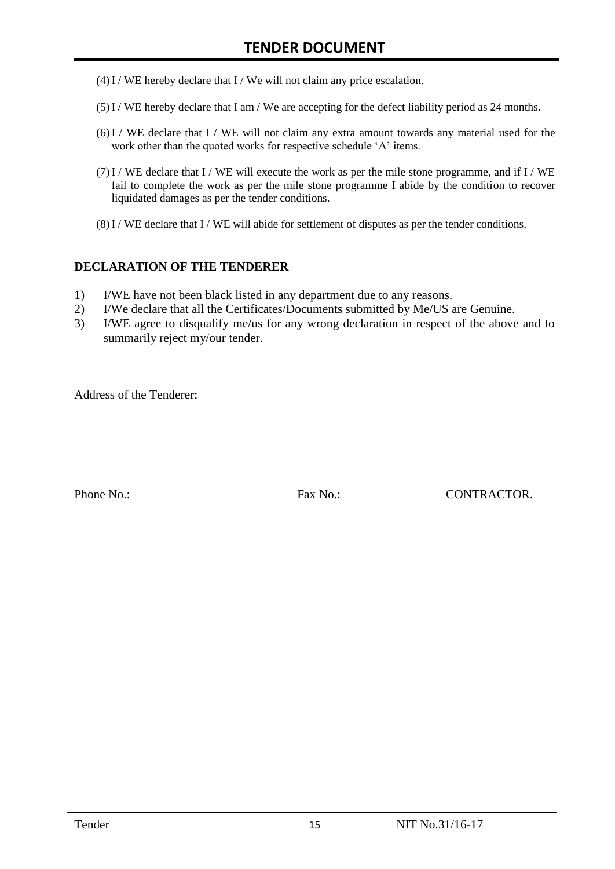- $(4)$  I / WE hereby declare that I / We will not claim any price escalation.
- (5)I / WE hereby declare that I am / We are accepting for the defect liability period as 24 months.
- $(6)$ I / WE declare that I / WE will not claim any extra amount towards any material used for the work other than the quoted works for respective schedule 'A' items.
- $(7)$ I / WE declare that I / WE will execute the work as per the mile stone programme, and if I / WE fail to complete the work as per the mile stone programme I abide by the condition to recover liquidated damages as per the tender conditions.
- $(8)$ I / WE declare that I / WE will abide for settlement of disputes as per the tender conditions.

#### **DECLARATION OF THE TENDERER**

- 1) I/WE have not been black listed in any department due to any reasons.
- 2) I/We declare that all the Certificates/Documents submitted by Me/US are Genuine.
- 3) I/WE agree to disqualify me/us for any wrong declaration in respect of the above and to summarily reject my/our tender.

Address of the Tenderer:

Phone No.: Fax No.: CONTRACTOR.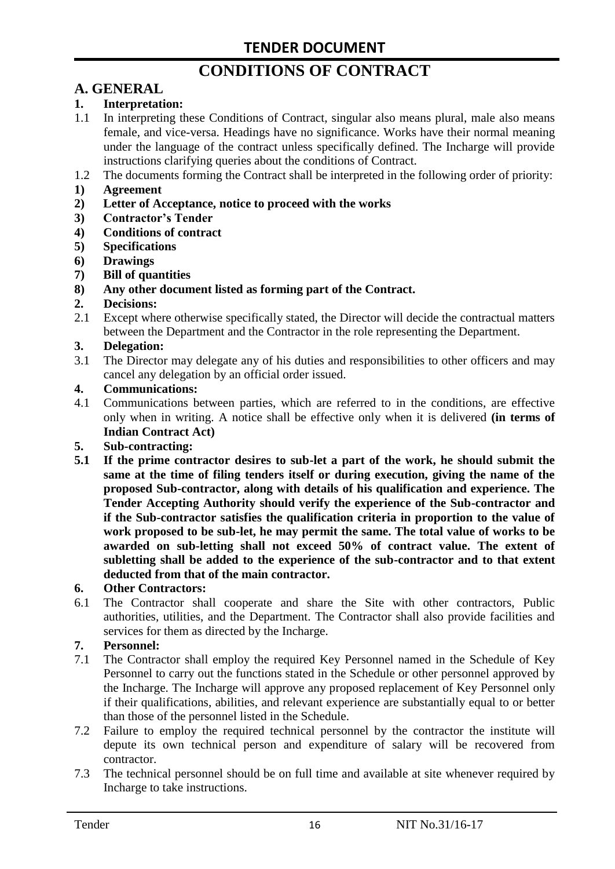# **CONDITIONS OF CONTRACT**

# **A. GENERAL**

#### **1. Interpretation:**

- 1.1 In interpreting these Conditions of Contract, singular also means plural, male also means female, and vice-versa. Headings have no significance. Works have their normal meaning under the language of the contract unless specifically defined. The Incharge will provide instructions clarifying queries about the conditions of Contract.
- 1.2 The documents forming the Contract shall be interpreted in the following order of priority:
- **1) Agreement**
- **2) Letter of Acceptance, notice to proceed with the works**
- **3) Contractor's Tender**
- **4) Conditions of contract**
- **5) Specifications**
- **6) Drawings**
- **7) Bill of quantities**
- **8) Any other document listed as forming part of the Contract.**

#### **2. Decisions:**

2.1 Except where otherwise specifically stated, the Director will decide the contractual matters between the Department and the Contractor in the role representing the Department.

#### **3. Delegation:**

3.1 The Director may delegate any of his duties and responsibilities to other officers and may cancel any delegation by an official order issued.

#### **4. Communications:**

4.1 Communications between parties, which are referred to in the conditions, are effective only when in writing. A notice shall be effective only when it is delivered **(in terms of Indian Contract Act)**

#### **5. Sub-contracting:**

**5.1 If the prime contractor desires to sub-let a part of the work, he should submit the same at the time of filing tenders itself or during execution, giving the name of the proposed Sub-contractor, along with details of his qualification and experience. The Tender Accepting Authority should verify the experience of the Sub-contractor and if the Sub-contractor satisfies the qualification criteria in proportion to the value of work proposed to be sub-let, he may permit the same. The total value of works to be awarded on sub-letting shall not exceed 50% of contract value. The extent of subletting shall be added to the experience of the sub-contractor and to that extent deducted from that of the main contractor.**

#### **6. Other Contractors:**

6.1 The Contractor shall cooperate and share the Site with other contractors, Public authorities, utilities, and the Department. The Contractor shall also provide facilities and services for them as directed by the Incharge.

#### **7. Personnel:**

- 7.1 The Contractor shall employ the required Key Personnel named in the Schedule of Key Personnel to carry out the functions stated in the Schedule or other personnel approved by the Incharge. The Incharge will approve any proposed replacement of Key Personnel only if their qualifications, abilities, and relevant experience are substantially equal to or better than those of the personnel listed in the Schedule.
- 7.2 Failure to employ the required technical personnel by the contractor the institute will depute its own technical person and expenditure of salary will be recovered from contractor.
- 7.3 The technical personnel should be on full time and available at site whenever required by Incharge to take instructions.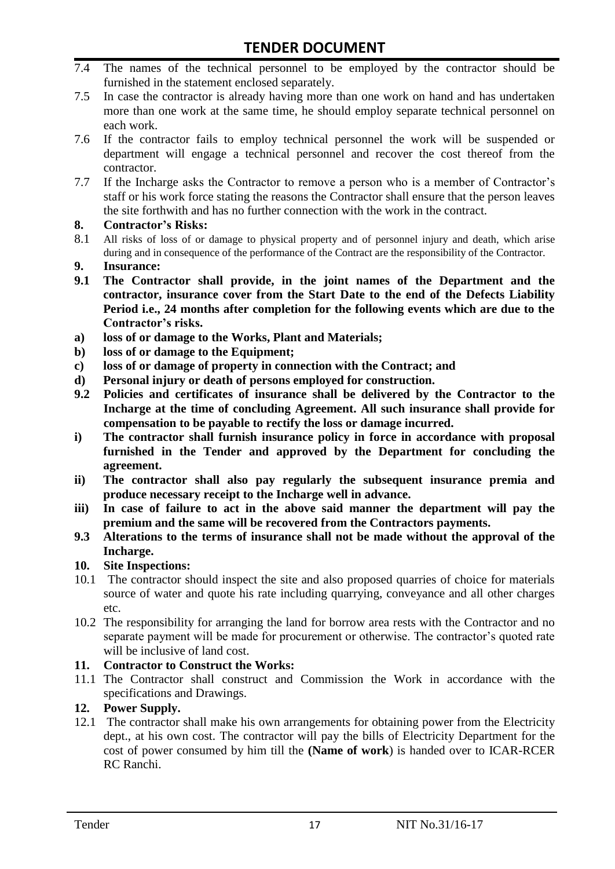- 7.4 The names of the technical personnel to be employed by the contractor should be furnished in the statement enclosed separately.
- 7.5 In case the contractor is already having more than one work on hand and has undertaken more than one work at the same time, he should employ separate technical personnel on each work.
- 7.6 If the contractor fails to employ technical personnel the work will be suspended or department will engage a technical personnel and recover the cost thereof from the contractor.
- 7.7 If the Incharge asks the Contractor to remove a person who is a member of Contractor"s staff or his work force stating the reasons the Contractor shall ensure that the person leaves the site forthwith and has no further connection with the work in the contract.

#### **8. Contractor's Risks:**

- 8.1 All risks of loss of or damage to physical property and of personnel injury and death, which arise during and in consequence of the performance of the Contract are the responsibility of the Contractor.
- **9. Insurance:**
- **9.1 The Contractor shall provide, in the joint names of the Department and the contractor, insurance cover from the Start Date to the end of the Defects Liability Period i.e., 24 months after completion for the following events which are due to the Contractor's risks.**
- **a) loss of or damage to the Works, Plant and Materials;**
- **b) loss of or damage to the Equipment;**
- **c) loss of or damage of property in connection with the Contract; and**
- **d) Personal injury or death of persons employed for construction.**
- **9.2 Policies and certificates of insurance shall be delivered by the Contractor to the Incharge at the time of concluding Agreement. All such insurance shall provide for compensation to be payable to rectify the loss or damage incurred.**
- **i) The contractor shall furnish insurance policy in force in accordance with proposal furnished in the Tender and approved by the Department for concluding the agreement.**
- **ii) The contractor shall also pay regularly the subsequent insurance premia and produce necessary receipt to the Incharge well in advance.**
- **iii) In case of failure to act in the above said manner the department will pay the premium and the same will be recovered from the Contractors payments.**
- **9.3 Alterations to the terms of insurance shall not be made without the approval of the Incharge.**

#### **10. Site Inspections:**

- 10.1 The contractor should inspect the site and also proposed quarries of choice for materials source of water and quote his rate including quarrying, conveyance and all other charges etc.
- 10.2 The responsibility for arranging the land for borrow area rests with the Contractor and no separate payment will be made for procurement or otherwise. The contractor's quoted rate will be inclusive of land cost.

#### **11. Contractor to Construct the Works:**

11.1 The Contractor shall construct and Commission the Work in accordance with the specifications and Drawings.

### **12. Power Supply.**

12.1 The contractor shall make his own arrangements for obtaining power from the Electricity dept., at his own cost. The contractor will pay the bills of Electricity Department for the cost of power consumed by him till the **(Name of work**) is handed over to ICAR-RCER RC Ranchi.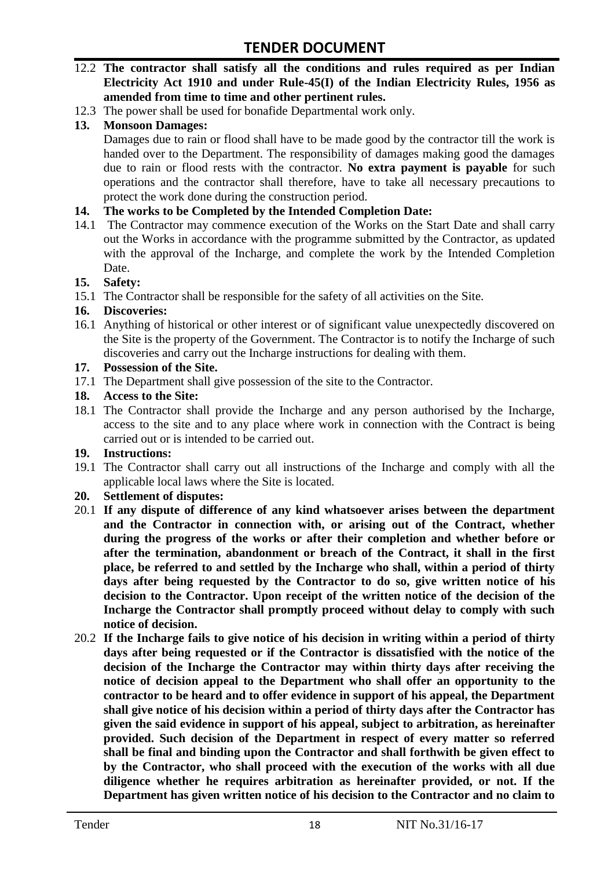- 12.2 **The contractor shall satisfy all the conditions and rules required as per Indian Electricity Act 1910 and under Rule-45(I) of the Indian Electricity Rules, 1956 as amended from time to time and other pertinent rules.**
- 12.3 The power shall be used for bonafide Departmental work only.

### **13. Monsoon Damages:**

Damages due to rain or flood shall have to be made good by the contractor till the work is handed over to the Department. The responsibility of damages making good the damages due to rain or flood rests with the contractor. **No extra payment is payable** for such operations and the contractor shall therefore, have to take all necessary precautions to protect the work done during the construction period.

#### **14. The works to be Completed by the Intended Completion Date:**

14.1 The Contractor may commence execution of the Works on the Start Date and shall carry out the Works in accordance with the programme submitted by the Contractor, as updated with the approval of the Incharge, and complete the work by the Intended Completion Date.

#### **15. Safety:**

15.1 The Contractor shall be responsible for the safety of all activities on the Site.

#### **16. Discoveries:**

16.1 Anything of historical or other interest or of significant value unexpectedly discovered on the Site is the property of the Government. The Contractor is to notify the Incharge of such discoveries and carry out the Incharge instructions for dealing with them.

#### **17. Possession of the Site.**

17.1 The Department shall give possession of the site to the Contractor.

#### **18. Access to the Site:**

18.1 The Contractor shall provide the Incharge and any person authorised by the Incharge, access to the site and to any place where work in connection with the Contract is being carried out or is intended to be carried out.

#### **19. Instructions:**

19.1 The Contractor shall carry out all instructions of the Incharge and comply with all the applicable local laws where the Site is located.

#### **20. Settlement of disputes:**

- 20.1 **If any dispute of difference of any kind whatsoever arises between the department and the Contractor in connection with, or arising out of the Contract, whether during the progress of the works or after their completion and whether before or after the termination, abandonment or breach of the Contract, it shall in the first place, be referred to and settled by the Incharge who shall, within a period of thirty days after being requested by the Contractor to do so, give written notice of his decision to the Contractor. Upon receipt of the written notice of the decision of the Incharge the Contractor shall promptly proceed without delay to comply with such notice of decision.**
- 20.2 **If the Incharge fails to give notice of his decision in writing within a period of thirty days after being requested or if the Contractor is dissatisfied with the notice of the decision of the Incharge the Contractor may within thirty days after receiving the notice of decision appeal to the Department who shall offer an opportunity to the contractor to be heard and to offer evidence in support of his appeal, the Department shall give notice of his decision within a period of thirty days after the Contractor has given the said evidence in support of his appeal, subject to arbitration, as hereinafter provided. Such decision of the Department in respect of every matter so referred shall be final and binding upon the Contractor and shall forthwith be given effect to by the Contractor, who shall proceed with the execution of the works with all due diligence whether he requires arbitration as hereinafter provided, or not. If the Department has given written notice of his decision to the Contractor and no claim to**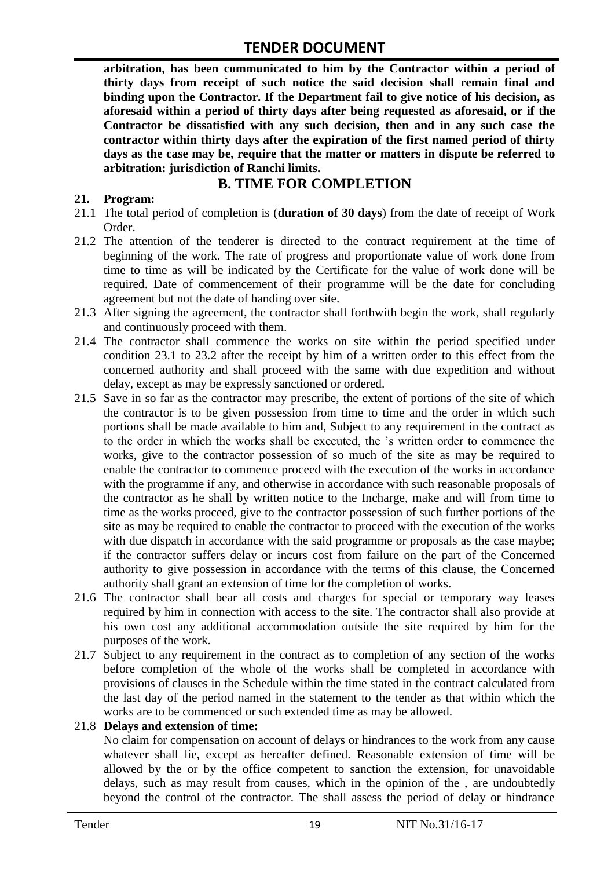**arbitration, has been communicated to him by the Contractor within a period of thirty days from receipt of such notice the said decision shall remain final and binding upon the Contractor. If the Department fail to give notice of his decision, as aforesaid within a period of thirty days after being requested as aforesaid, or if the Contractor be dissatisfied with any such decision, then and in any such case the contractor within thirty days after the expiration of the first named period of thirty days as the case may be, require that the matter or matters in dispute be referred to arbitration: jurisdiction of Ranchi limits.**

# **B. TIME FOR COMPLETION**

#### **21. Program:**

- 21.1 The total period of completion is (**duration of 30 days**) from the date of receipt of Work Order.
- 21.2 The attention of the tenderer is directed to the contract requirement at the time of beginning of the work. The rate of progress and proportionate value of work done from time to time as will be indicated by the Certificate for the value of work done will be required. Date of commencement of their programme will be the date for concluding agreement but not the date of handing over site.
- 21.3 After signing the agreement, the contractor shall forthwith begin the work, shall regularly and continuously proceed with them.
- 21.4 The contractor shall commence the works on site within the period specified under condition 23.1 to 23.2 after the receipt by him of a written order to this effect from the concerned authority and shall proceed with the same with due expedition and without delay, except as may be expressly sanctioned or ordered.
- 21.5 Save in so far as the contractor may prescribe, the extent of portions of the site of which the contractor is to be given possession from time to time and the order in which such portions shall be made available to him and, Subject to any requirement in the contract as to the order in which the works shall be executed, the "s written order to commence the works, give to the contractor possession of so much of the site as may be required to enable the contractor to commence proceed with the execution of the works in accordance with the programme if any, and otherwise in accordance with such reasonable proposals of the contractor as he shall by written notice to the Incharge, make and will from time to time as the works proceed, give to the contractor possession of such further portions of the site as may be required to enable the contractor to proceed with the execution of the works with due dispatch in accordance with the said programme or proposals as the case maybe; if the contractor suffers delay or incurs cost from failure on the part of the Concerned authority to give possession in accordance with the terms of this clause, the Concerned authority shall grant an extension of time for the completion of works.
- 21.6 The contractor shall bear all costs and charges for special or temporary way leases required by him in connection with access to the site. The contractor shall also provide at his own cost any additional accommodation outside the site required by him for the purposes of the work.
- 21.7 Subject to any requirement in the contract as to completion of any section of the works before completion of the whole of the works shall be completed in accordance with provisions of clauses in the Schedule within the time stated in the contract calculated from the last day of the period named in the statement to the tender as that within which the works are to be commenced or such extended time as may be allowed.

#### 21.8 **Delays and extension of time:**

No claim for compensation on account of delays or hindrances to the work from any cause whatever shall lie, except as hereafter defined. Reasonable extension of time will be allowed by the or by the office competent to sanction the extension, for unavoidable delays, such as may result from causes, which in the opinion of the , are undoubtedly beyond the control of the contractor. The shall assess the period of delay or hindrance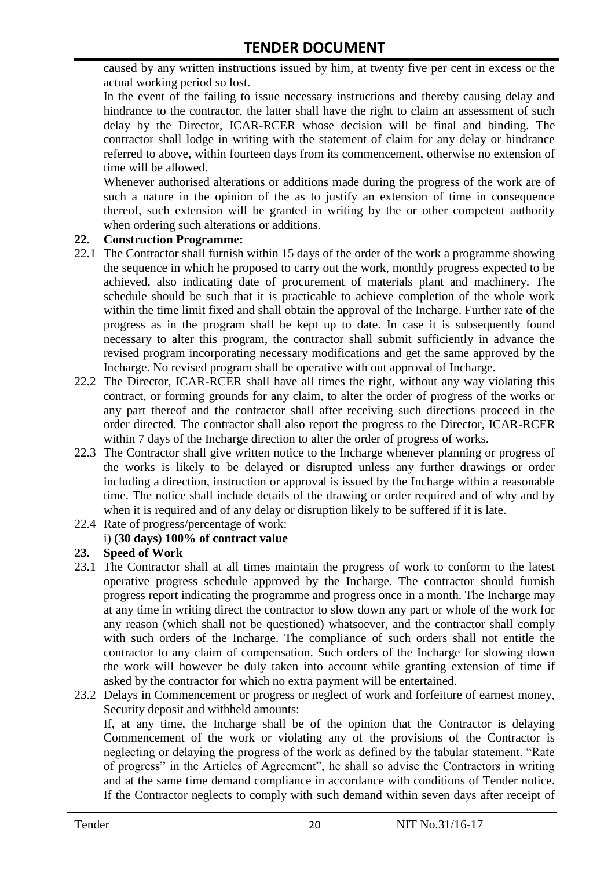caused by any written instructions issued by him, at twenty five per cent in excess or the actual working period so lost.

In the event of the failing to issue necessary instructions and thereby causing delay and hindrance to the contractor, the latter shall have the right to claim an assessment of such delay by the Director, ICAR-RCER whose decision will be final and binding. The contractor shall lodge in writing with the statement of claim for any delay or hindrance referred to above, within fourteen days from its commencement, otherwise no extension of time will be allowed.

Whenever authorised alterations or additions made during the progress of the work are of such a nature in the opinion of the as to justify an extension of time in consequence thereof, such extension will be granted in writing by the or other competent authority when ordering such alterations or additions.

#### **22. Construction Programme:**

- 22.1 The Contractor shall furnish within 15 days of the order of the work a programme showing the sequence in which he proposed to carry out the work, monthly progress expected to be achieved, also indicating date of procurement of materials plant and machinery. The schedule should be such that it is practicable to achieve completion of the whole work within the time limit fixed and shall obtain the approval of the Incharge. Further rate of the progress as in the program shall be kept up to date. In case it is subsequently found necessary to alter this program, the contractor shall submit sufficiently in advance the revised program incorporating necessary modifications and get the same approved by the Incharge. No revised program shall be operative with out approval of Incharge.
- 22.2 The Director, ICAR-RCER shall have all times the right, without any way violating this contract, or forming grounds for any claim, to alter the order of progress of the works or any part thereof and the contractor shall after receiving such directions proceed in the order directed. The contractor shall also report the progress to the Director, ICAR-RCER within 7 days of the Incharge direction to alter the order of progress of works.
- 22.3 The Contractor shall give written notice to the Incharge whenever planning or progress of the works is likely to be delayed or disrupted unless any further drawings or order including a direction, instruction or approval is issued by the Incharge within a reasonable time. The notice shall include details of the drawing or order required and of why and by when it is required and of any delay or disruption likely to be suffered if it is late.

# 22.4 Rate of progress/percentage of work:

# i) **(30 days) 100% of contract value**

#### **23. Speed of Work**

- 23.1 The Contractor shall at all times maintain the progress of work to conform to the latest operative progress schedule approved by the Incharge. The contractor should furnish progress report indicating the programme and progress once in a month. The Incharge may at any time in writing direct the contractor to slow down any part or whole of the work for any reason (which shall not be questioned) whatsoever, and the contractor shall comply with such orders of the Incharge. The compliance of such orders shall not entitle the contractor to any claim of compensation. Such orders of the Incharge for slowing down the work will however be duly taken into account while granting extension of time if asked by the contractor for which no extra payment will be entertained.
- 23.2 Delays in Commencement or progress or neglect of work and forfeiture of earnest money, Security deposit and withheld amounts:

If, at any time, the Incharge shall be of the opinion that the Contractor is delaying Commencement of the work or violating any of the provisions of the Contractor is neglecting or delaying the progress of the work as defined by the tabular statement. "Rate of progress" in the Articles of Agreement", he shall so advise the Contractors in writing and at the same time demand compliance in accordance with conditions of Tender notice. If the Contractor neglects to comply with such demand within seven days after receipt of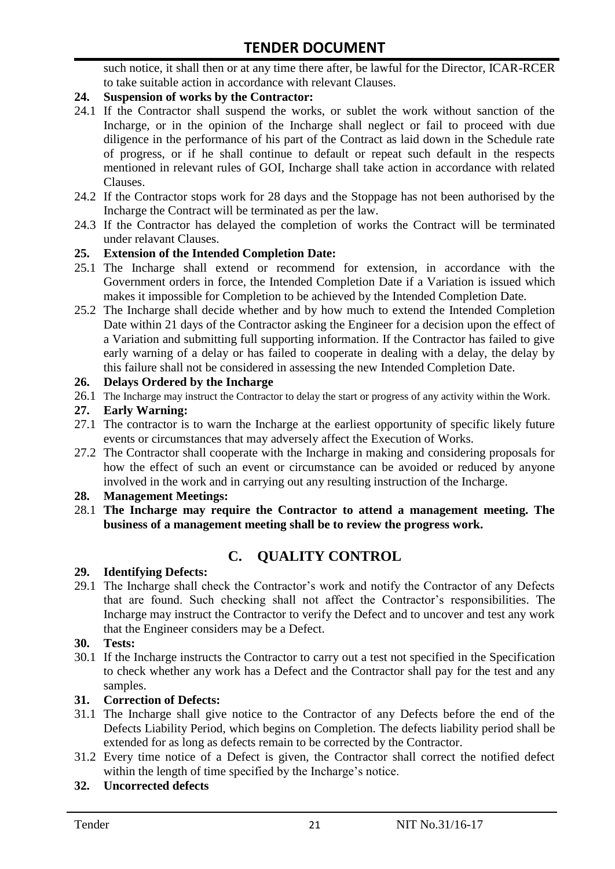such notice, it shall then or at any time there after, be lawful for the Director, ICAR-RCER to take suitable action in accordance with relevant Clauses.

### **24. Suspension of works by the Contractor:**

- 24.1 If the Contractor shall suspend the works, or sublet the work without sanction of the Incharge, or in the opinion of the Incharge shall neglect or fail to proceed with due diligence in the performance of his part of the Contract as laid down in the Schedule rate of progress, or if he shall continue to default or repeat such default in the respects mentioned in relevant rules of GOI, Incharge shall take action in accordance with related Clauses.
- 24.2 If the Contractor stops work for 28 days and the Stoppage has not been authorised by the Incharge the Contract will be terminated as per the law.
- 24.3 If the Contractor has delayed the completion of works the Contract will be terminated under relavant Clauses.

### **25. Extension of the Intended Completion Date:**

- 25.1 The Incharge shall extend or recommend for extension, in accordance with the Government orders in force, the Intended Completion Date if a Variation is issued which makes it impossible for Completion to be achieved by the Intended Completion Date.
- 25.2 The Incharge shall decide whether and by how much to extend the Intended Completion Date within 21 days of the Contractor asking the Engineer for a decision upon the effect of a Variation and submitting full supporting information. If the Contractor has failed to give early warning of a delay or has failed to cooperate in dealing with a delay, the delay by this failure shall not be considered in assessing the new Intended Completion Date.

#### **26. Delays Ordered by the Incharge**

26.1 The Incharge may instruct the Contractor to delay the start or progress of any activity within the Work.

#### **27. Early Warning:**

- 27.1 The contractor is to warn the Incharge at the earliest opportunity of specific likely future events or circumstances that may adversely affect the Execution of Works.
- 27.2 The Contractor shall cooperate with the Incharge in making and considering proposals for how the effect of such an event or circumstance can be avoided or reduced by anyone involved in the work and in carrying out any resulting instruction of the Incharge.

#### **28. Management Meetings:**

28.1 **The Incharge may require the Contractor to attend a management meeting. The business of a management meeting shall be to review the progress work.**

# **C. QUALITY CONTROL**

#### **29. Identifying Defects:**

29.1 The Incharge shall check the Contractor's work and notify the Contractor of any Defects that are found. Such checking shall not affect the Contractor"s responsibilities. The Incharge may instruct the Contractor to verify the Defect and to uncover and test any work that the Engineer considers may be a Defect.

#### **30. Tests:**

30.1 If the Incharge instructs the Contractor to carry out a test not specified in the Specification to check whether any work has a Defect and the Contractor shall pay for the test and any samples.

### **31. Correction of Defects:**

- 31.1 The Incharge shall give notice to the Contractor of any Defects before the end of the Defects Liability Period, which begins on Completion. The defects liability period shall be extended for as long as defects remain to be corrected by the Contractor.
- 31.2 Every time notice of a Defect is given, the Contractor shall correct the notified defect within the length of time specified by the Incharge's notice.

### **32. Uncorrected defects**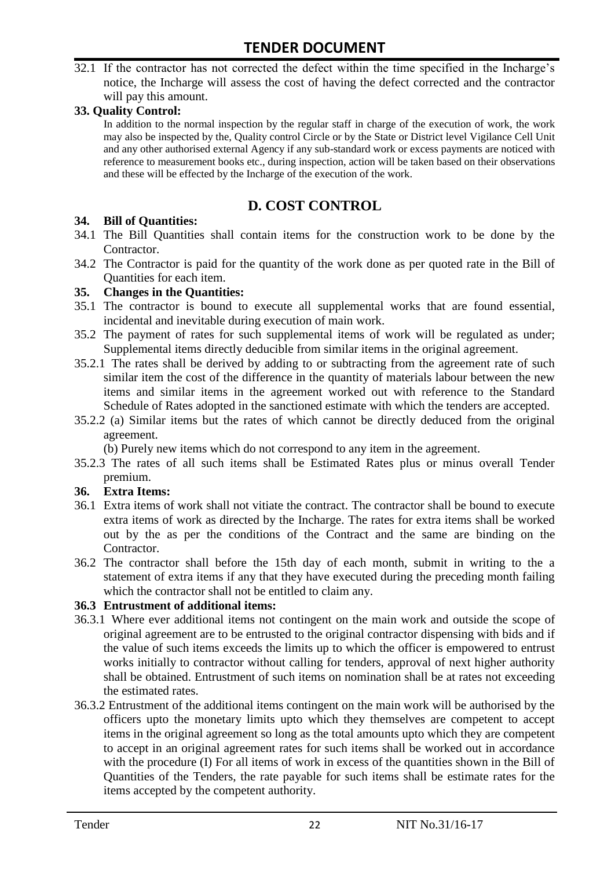32.1 If the contractor has not corrected the defect within the time specified in the Incharge's notice, the Incharge will assess the cost of having the defect corrected and the contractor will pay this amount.

#### **33. Quality Control:**

In addition to the normal inspection by the regular staff in charge of the execution of work, the work may also be inspected by the, Quality control Circle or by the State or District level Vigilance Cell Unit and any other authorised external Agency if any sub-standard work or excess payments are noticed with reference to measurement books etc., during inspection, action will be taken based on their observations and these will be effected by the Incharge of the execution of the work.

# **D. COST CONTROL**

#### **34. Bill of Quantities:**

- 34.1 The Bill Quantities shall contain items for the construction work to be done by the Contractor.
- 34.2 The Contractor is paid for the quantity of the work done as per quoted rate in the Bill of Quantities for each item.

#### **35. Changes in the Quantities:**

- 35.1 The contractor is bound to execute all supplemental works that are found essential, incidental and inevitable during execution of main work.
- 35.2 The payment of rates for such supplemental items of work will be regulated as under; Supplemental items directly deducible from similar items in the original agreement.
- 35.2.1 The rates shall be derived by adding to or subtracting from the agreement rate of such similar item the cost of the difference in the quantity of materials labour between the new items and similar items in the agreement worked out with reference to the Standard Schedule of Rates adopted in the sanctioned estimate with which the tenders are accepted.
- 35.2.2 (a) Similar items but the rates of which cannot be directly deduced from the original agreement.

(b) Purely new items which do not correspond to any item in the agreement.

35.2.3 The rates of all such items shall be Estimated Rates plus or minus overall Tender premium.

#### **36. Extra Items:**

- 36.1 Extra items of work shall not vitiate the contract. The contractor shall be bound to execute extra items of work as directed by the Incharge. The rates for extra items shall be worked out by the as per the conditions of the Contract and the same are binding on the Contractor.
- 36.2 The contractor shall before the 15th day of each month, submit in writing to the a statement of extra items if any that they have executed during the preceding month failing which the contractor shall not be entitled to claim any.

#### **36.3 Entrustment of additional items:**

- 36.3.1 Where ever additional items not contingent on the main work and outside the scope of original agreement are to be entrusted to the original contractor dispensing with bids and if the value of such items exceeds the limits up to which the officer is empowered to entrust works initially to contractor without calling for tenders, approval of next higher authority shall be obtained. Entrustment of such items on nomination shall be at rates not exceeding the estimated rates.
- 36.3.2 Entrustment of the additional items contingent on the main work will be authorised by the officers upto the monetary limits upto which they themselves are competent to accept items in the original agreement so long as the total amounts upto which they are competent to accept in an original agreement rates for such items shall be worked out in accordance with the procedure (I) For all items of work in excess of the quantities shown in the Bill of Quantities of the Tenders, the rate payable for such items shall be estimate rates for the items accepted by the competent authority.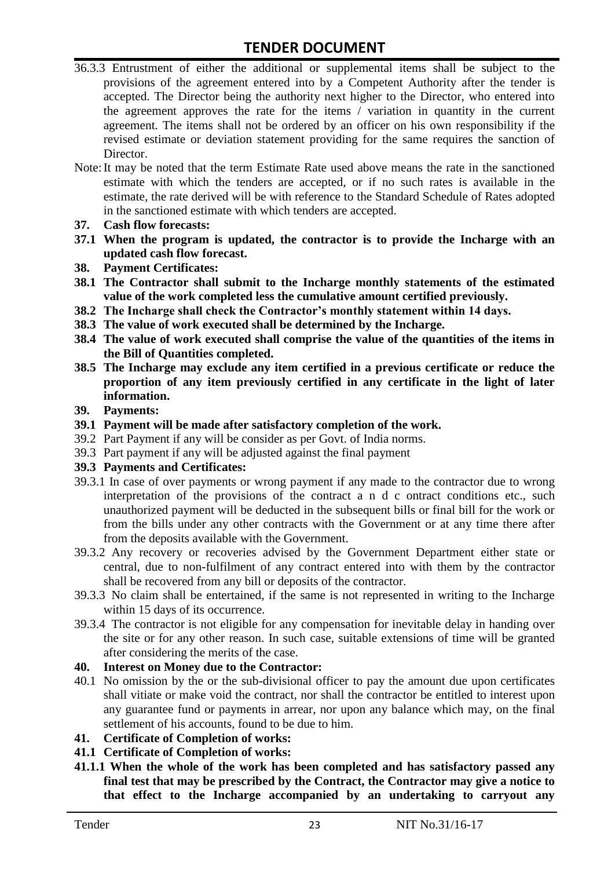- 36.3.3 Entrustment of either the additional or supplemental items shall be subject to the provisions of the agreement entered into by a Competent Authority after the tender is accepted. The Director being the authority next higher to the Director, who entered into the agreement approves the rate for the items / variation in quantity in the current agreement. The items shall not be ordered by an officer on his own responsibility if the revised estimate or deviation statement providing for the same requires the sanction of Director.
- Note:It may be noted that the term Estimate Rate used above means the rate in the sanctioned estimate with which the tenders are accepted, or if no such rates is available in the estimate, the rate derived will be with reference to the Standard Schedule of Rates adopted in the sanctioned estimate with which tenders are accepted.
- **37. Cash flow forecasts:**
- **37.1 When the program is updated, the contractor is to provide the Incharge with an updated cash flow forecast.**
- **38. Payment Certificates:**
- **38.1 The Contractor shall submit to the Incharge monthly statements of the estimated value of the work completed less the cumulative amount certified previously.**
- **38.2 The Incharge shall check the Contractor's monthly statement within 14 days.**
- **38.3 The value of work executed shall be determined by the Incharge.**
- **38.4 The value of work executed shall comprise the value of the quantities of the items in the Bill of Quantities completed.**
- **38.5 The Incharge may exclude any item certified in a previous certificate or reduce the proportion of any item previously certified in any certificate in the light of later information.**
- **39. Payments:**
- **39.1 Payment will be made after satisfactory completion of the work.**
- 39.2 Part Payment if any will be consider as per Govt. of India norms.
- 39.3 Part payment if any will be adjusted against the final payment

#### **39.3 Payments and Certificates:**

- 39.3.1 In case of over payments or wrong payment if any made to the contractor due to wrong interpretation of the provisions of the contract a n d c ontract conditions etc., such unauthorized payment will be deducted in the subsequent bills or final bill for the work or from the bills under any other contracts with the Government or at any time there after from the deposits available with the Government.
- 39.3.2 Any recovery or recoveries advised by the Government Department either state or central, due to non-fulfilment of any contract entered into with them by the contractor shall be recovered from any bill or deposits of the contractor.
- 39.3.3 No claim shall be entertained, if the same is not represented in writing to the Incharge within 15 days of its occurrence.
- 39.3.4 The contractor is not eligible for any compensation for inevitable delay in handing over the site or for any other reason. In such case, suitable extensions of time will be granted after considering the merits of the case.

#### **40. Interest on Money due to the Contractor:**

- 40.1 No omission by the or the sub-divisional officer to pay the amount due upon certificates shall vitiate or make void the contract, nor shall the contractor be entitled to interest upon any guarantee fund or payments in arrear, nor upon any balance which may, on the final settlement of his accounts, found to be due to him.
- **41. Certificate of Completion of works:**
- **41.1 Certificate of Completion of works:**
- **41.1.1 When the whole of the work has been completed and has satisfactory passed any final test that may be prescribed by the Contract, the Contractor may give a notice to that effect to the Incharge accompanied by an undertaking to carryout any**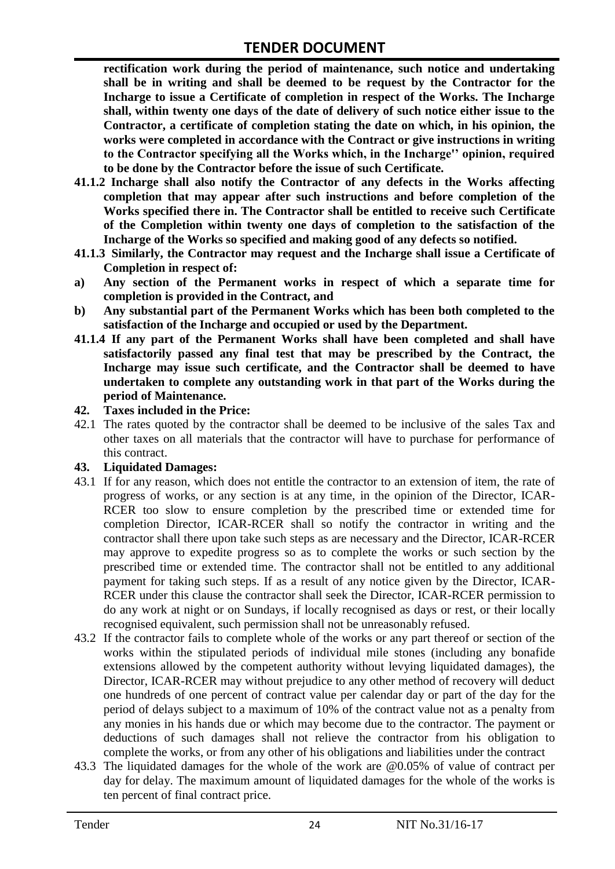**rectification work during the period of maintenance, such notice and undertaking shall be in writing and shall be deemed to be request by the Contractor for the Incharge to issue a Certificate of completion in respect of the Works. The Incharge shall, within twenty one days of the date of delivery of such notice either issue to the Contractor, a certificate of completion stating the date on which, in his opinion, the works were completed in accordance with the Contract or give instructions in writing to the Contractor specifying all the Works which, in the Incharge'' opinion, required to be done by the Contractor before the issue of such Certificate.**

- **41.1.2 Incharge shall also notify the Contractor of any defects in the Works affecting completion that may appear after such instructions and before completion of the Works specified there in. The Contractor shall be entitled to receive such Certificate of the Completion within twenty one days of completion to the satisfaction of the Incharge of the Works so specified and making good of any defects so notified.**
- **41.1.3 Similarly, the Contractor may request and the Incharge shall issue a Certificate of Completion in respect of:**
- **a) Any section of the Permanent works in respect of which a separate time for completion is provided in the Contract, and**
- **b) Any substantial part of the Permanent Works which has been both completed to the satisfaction of the Incharge and occupied or used by the Department.**
- **41.1.4 If any part of the Permanent Works shall have been completed and shall have satisfactorily passed any final test that may be prescribed by the Contract, the Incharge may issue such certificate, and the Contractor shall be deemed to have undertaken to complete any outstanding work in that part of the Works during the period of Maintenance.**
- **42. Taxes included in the Price:**
- 42.1 The rates quoted by the contractor shall be deemed to be inclusive of the sales Tax and other taxes on all materials that the contractor will have to purchase for performance of this contract.

#### **43. Liquidated Damages:**

- 43.1 If for any reason, which does not entitle the contractor to an extension of item, the rate of progress of works, or any section is at any time, in the opinion of the Director, ICAR-RCER too slow to ensure completion by the prescribed time or extended time for completion Director, ICAR-RCER shall so notify the contractor in writing and the contractor shall there upon take such steps as are necessary and the Director, ICAR-RCER may approve to expedite progress so as to complete the works or such section by the prescribed time or extended time. The contractor shall not be entitled to any additional payment for taking such steps. If as a result of any notice given by the Director, ICAR-RCER under this clause the contractor shall seek the Director, ICAR-RCER permission to do any work at night or on Sundays, if locally recognised as days or rest, or their locally recognised equivalent, such permission shall not be unreasonably refused.
- 43.2 If the contractor fails to complete whole of the works or any part thereof or section of the works within the stipulated periods of individual mile stones (including any bonafide extensions allowed by the competent authority without levying liquidated damages), the Director, ICAR-RCER may without prejudice to any other method of recovery will deduct one hundreds of one percent of contract value per calendar day or part of the day for the period of delays subject to a maximum of 10% of the contract value not as a penalty from any monies in his hands due or which may become due to the contractor. The payment or deductions of such damages shall not relieve the contractor from his obligation to complete the works, or from any other of his obligations and liabilities under the contract
- 43.3 The liquidated damages for the whole of the work are @0.05% of value of contract per day for delay. The maximum amount of liquidated damages for the whole of the works is ten percent of final contract price.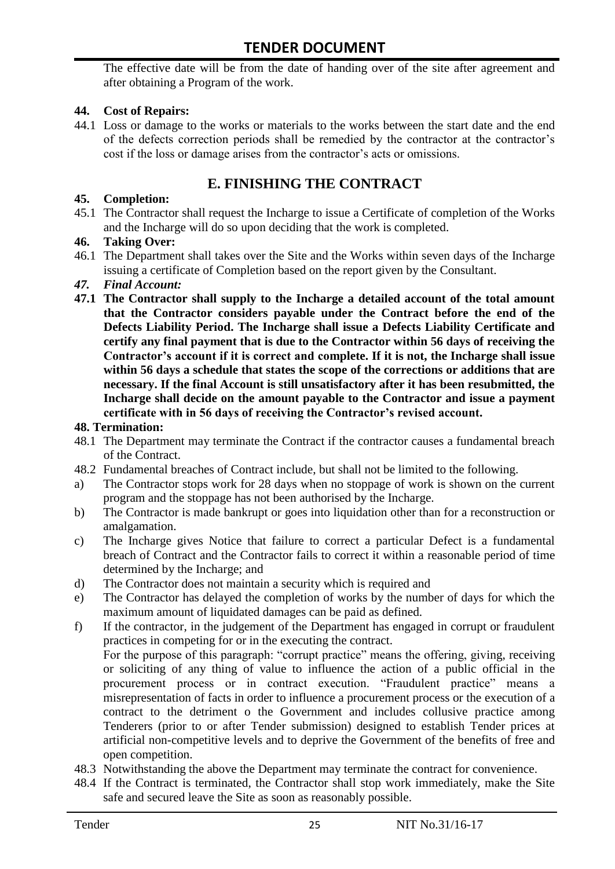The effective date will be from the date of handing over of the site after agreement and after obtaining a Program of the work.

#### **44. Cost of Repairs:**

44.1 Loss or damage to the works or materials to the works between the start date and the end of the defects correction periods shall be remedied by the contractor at the contractor"s cost if the loss or damage arises from the contractor's acts or omissions.

# **E. FINISHING THE CONTRACT**

#### **45. Completion:**

45.1 The Contractor shall request the Incharge to issue a Certificate of completion of the Works and the Incharge will do so upon deciding that the work is completed.

#### **46. Taking Over:**

46.1 The Department shall takes over the Site and the Works within seven days of the Incharge issuing a certificate of Completion based on the report given by the Consultant.

#### *47. Final Account:*

**47.1 The Contractor shall supply to the Incharge a detailed account of the total amount that the Contractor considers payable under the Contract before the end of the Defects Liability Period. The Incharge shall issue a Defects Liability Certificate and certify any final payment that is due to the Contractor within 56 days of receiving the Contractor's account if it is correct and complete. If it is not, the Incharge shall issue within 56 days a schedule that states the scope of the corrections or additions that are necessary. If the final Account is still unsatisfactory after it has been resubmitted, the Incharge shall decide on the amount payable to the Contractor and issue a payment certificate with in 56 days of receiving the Contractor's revised account.**

#### **48. Termination:**

- 48.1 The Department may terminate the Contract if the contractor causes a fundamental breach of the Contract.
- 48.2 Fundamental breaches of Contract include, but shall not be limited to the following.
- a) The Contractor stops work for 28 days when no stoppage of work is shown on the current program and the stoppage has not been authorised by the Incharge.
- b) The Contractor is made bankrupt or goes into liquidation other than for a reconstruction or amalgamation.
- c) The Incharge gives Notice that failure to correct a particular Defect is a fundamental breach of Contract and the Contractor fails to correct it within a reasonable period of time determined by the Incharge; and
- d) The Contractor does not maintain a security which is required and
- e) The Contractor has delayed the completion of works by the number of days for which the maximum amount of liquidated damages can be paid as defined.
- f) If the contractor, in the judgement of the Department has engaged in corrupt or fraudulent practices in competing for or in the executing the contract. For the purpose of this paragraph: "corrupt practice" means the offering, giving, receiving or soliciting of any thing of value to influence the action of a public official in the procurement process or in contract execution. "Fraudulent practice" means a misrepresentation of facts in order to influence a procurement process or the execution of a

contract to the detriment o the Government and includes collusive practice among Tenderers (prior to or after Tender submission) designed to establish Tender prices at artificial non-competitive levels and to deprive the Government of the benefits of free and open competition.

- 48.3 Notwithstanding the above the Department may terminate the contract for convenience.
- 48.4 If the Contract is terminated, the Contractor shall stop work immediately, make the Site safe and secured leave the Site as soon as reasonably possible.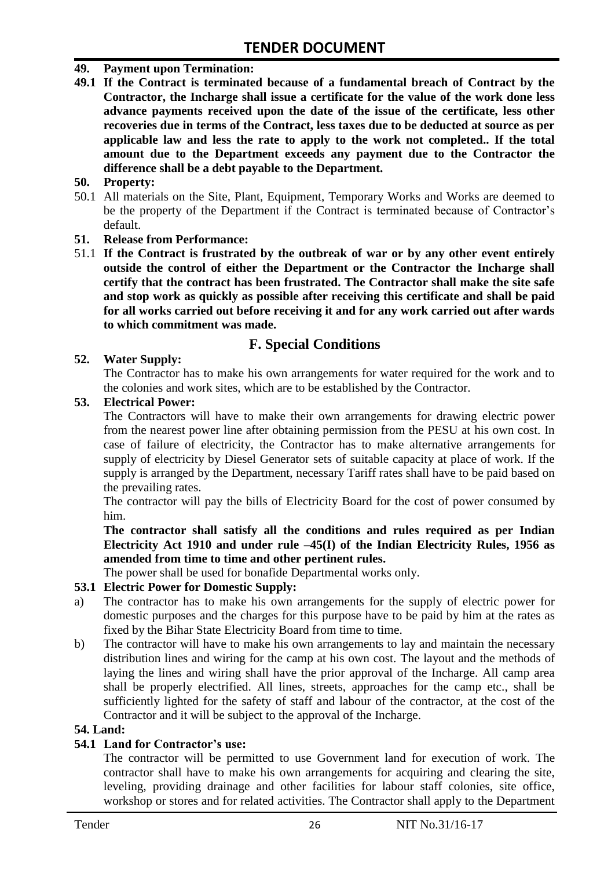#### **49. Payment upon Termination:**

**49.1 If the Contract is terminated because of a fundamental breach of Contract by the Contractor, the Incharge shall issue a certificate for the value of the work done less advance payments received upon the date of the issue of the certificate, less other recoveries due in terms of the Contract, less taxes due to be deducted at source as per applicable law and less the rate to apply to the work not completed.. If the total amount due to the Department exceeds any payment due to the Contractor the difference shall be a debt payable to the Department.**

#### **50. Property:**

50.1 All materials on the Site, Plant, Equipment, Temporary Works and Works are deemed to be the property of the Department if the Contract is terminated because of Contractor's default.

#### **51. Release from Performance:**

51.1 **If the Contract is frustrated by the outbreak of war or by any other event entirely outside the control of either the Department or the Contractor the Incharge shall certify that the contract has been frustrated. The Contractor shall make the site safe and stop work as quickly as possible after receiving this certificate and shall be paid for all works carried out before receiving it and for any work carried out after wards to which commitment was made.**

### **F. Special Conditions**

#### **52. Water Supply:**

The Contractor has to make his own arrangements for water required for the work and to the colonies and work sites, which are to be established by the Contractor.

#### **53. Electrical Power:**

The Contractors will have to make their own arrangements for drawing electric power from the nearest power line after obtaining permission from the PESU at his own cost. In case of failure of electricity, the Contractor has to make alternative arrangements for supply of electricity by Diesel Generator sets of suitable capacity at place of work. If the supply is arranged by the Department, necessary Tariff rates shall have to be paid based on the prevailing rates.

The contractor will pay the bills of Electricity Board for the cost of power consumed by him.

**The contractor shall satisfy all the conditions and rules required as per Indian Electricity Act 1910 and under rule –45(I) of the Indian Electricity Rules, 1956 as amended from time to time and other pertinent rules.**

The power shall be used for bonafide Departmental works only.

#### **53.1 Electric Power for Domestic Supply:**

- a) The contractor has to make his own arrangements for the supply of electric power for domestic purposes and the charges for this purpose have to be paid by him at the rates as fixed by the Bihar State Electricity Board from time to time.
- b) The contractor will have to make his own arrangements to lay and maintain the necessary distribution lines and wiring for the camp at his own cost. The layout and the methods of laying the lines and wiring shall have the prior approval of the Incharge. All camp area shall be properly electrified. All lines, streets, approaches for the camp etc., shall be sufficiently lighted for the safety of staff and labour of the contractor, at the cost of the Contractor and it will be subject to the approval of the Incharge.

#### **54. Land:**

#### **54.1 Land for Contractor's use:**

The contractor will be permitted to use Government land for execution of work. The contractor shall have to make his own arrangements for acquiring and clearing the site, leveling, providing drainage and other facilities for labour staff colonies, site office, workshop or stores and for related activities. The Contractor shall apply to the Department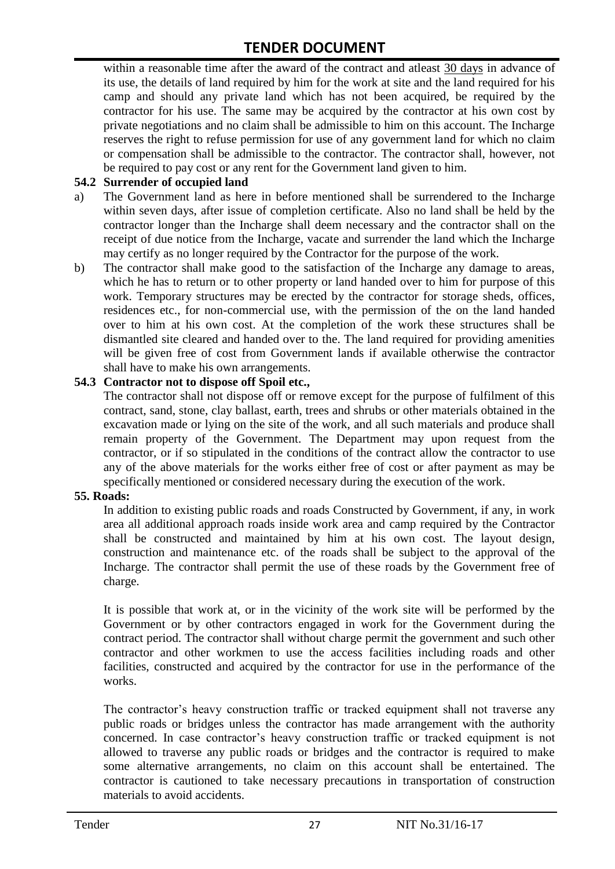within a reasonable time after the award of the contract and atleast 30 days in advance of its use, the details of land required by him for the work at site and the land required for his camp and should any private land which has not been acquired, be required by the contractor for his use. The same may be acquired by the contractor at his own cost by private negotiations and no claim shall be admissible to him on this account. The Incharge reserves the right to refuse permission for use of any government land for which no claim or compensation shall be admissible to the contractor. The contractor shall, however, not be required to pay cost or any rent for the Government land given to him.

#### **54.2 Surrender of occupied land**

- a) The Government land as here in before mentioned shall be surrendered to the Incharge within seven days, after issue of completion certificate. Also no land shall be held by the contractor longer than the Incharge shall deem necessary and the contractor shall on the receipt of due notice from the Incharge, vacate and surrender the land which the Incharge may certify as no longer required by the Contractor for the purpose of the work.
- b) The contractor shall make good to the satisfaction of the Incharge any damage to areas, which he has to return or to other property or land handed over to him for purpose of this work. Temporary structures may be erected by the contractor for storage sheds, offices, residences etc., for non-commercial use, with the permission of the on the land handed over to him at his own cost. At the completion of the work these structures shall be dismantled site cleared and handed over to the. The land required for providing amenities will be given free of cost from Government lands if available otherwise the contractor shall have to make his own arrangements.

#### **54.3 Contractor not to dispose off Spoil etc.,**

The contractor shall not dispose off or remove except for the purpose of fulfilment of this contract, sand, stone, clay ballast, earth, trees and shrubs or other materials obtained in the excavation made or lying on the site of the work, and all such materials and produce shall remain property of the Government. The Department may upon request from the contractor, or if so stipulated in the conditions of the contract allow the contractor to use any of the above materials for the works either free of cost or after payment as may be specifically mentioned or considered necessary during the execution of the work.

### **55. Roads:**

In addition to existing public roads and roads Constructed by Government, if any, in work area all additional approach roads inside work area and camp required by the Contractor shall be constructed and maintained by him at his own cost. The layout design, construction and maintenance etc. of the roads shall be subject to the approval of the Incharge. The contractor shall permit the use of these roads by the Government free of charge.

It is possible that work at, or in the vicinity of the work site will be performed by the Government or by other contractors engaged in work for the Government during the contract period. The contractor shall without charge permit the government and such other contractor and other workmen to use the access facilities including roads and other facilities, constructed and acquired by the contractor for use in the performance of the works.

The contractor's heavy construction traffic or tracked equipment shall not traverse any public roads or bridges unless the contractor has made arrangement with the authority concerned. In case contractor"s heavy construction traffic or tracked equipment is not allowed to traverse any public roads or bridges and the contractor is required to make some alternative arrangements, no claim on this account shall be entertained. The contractor is cautioned to take necessary precautions in transportation of construction materials to avoid accidents.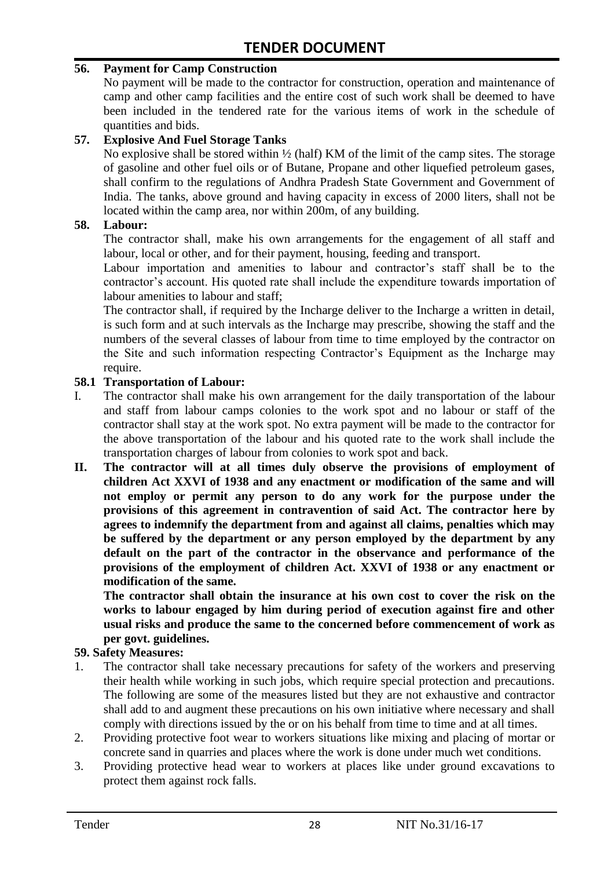#### **56. Payment for Camp Construction**

No payment will be made to the contractor for construction, operation and maintenance of camp and other camp facilities and the entire cost of such work shall be deemed to have been included in the tendered rate for the various items of work in the schedule of quantities and bids.

#### **57. Explosive And Fuel Storage Tanks**

No explosive shall be stored within  $\frac{1}{2}$  (half) KM of the limit of the camp sites. The storage of gasoline and other fuel oils or of Butane, Propane and other liquefied petroleum gases, shall confirm to the regulations of Andhra Pradesh State Government and Government of India. The tanks, above ground and having capacity in excess of 2000 liters, shall not be located within the camp area, nor within 200m, of any building.

#### **58. Labour:**

The contractor shall, make his own arrangements for the engagement of all staff and labour, local or other, and for their payment, housing, feeding and transport.

Labour importation and amenities to labour and contractor's staff shall be to the contractor's account. His quoted rate shall include the expenditure towards importation of labour amenities to labour and staff;

The contractor shall, if required by the Incharge deliver to the Incharge a written in detail, is such form and at such intervals as the Incharge may prescribe, showing the staff and the numbers of the several classes of labour from time to time employed by the contractor on the Site and such information respecting Contractor"s Equipment as the Incharge may require.

#### **58.1 Transportation of Labour:**

- I. The contractor shall make his own arrangement for the daily transportation of the labour and staff from labour camps colonies to the work spot and no labour or staff of the contractor shall stay at the work spot. No extra payment will be made to the contractor for the above transportation of the labour and his quoted rate to the work shall include the transportation charges of labour from colonies to work spot and back.
- **II. The contractor will at all times duly observe the provisions of employment of children Act XXVI of 1938 and any enactment or modification of the same and will not employ or permit any person to do any work for the purpose under the provisions of this agreement in contravention of said Act. The contractor here by agrees to indemnify the department from and against all claims, penalties which may be suffered by the department or any person employed by the department by any default on the part of the contractor in the observance and performance of the provisions of the employment of children Act. XXVI of 1938 or any enactment or modification of the same.**

**The contractor shall obtain the insurance at his own cost to cover the risk on the works to labour engaged by him during period of execution against fire and other usual risks and produce the same to the concerned before commencement of work as per govt. guidelines.**

#### **59. Safety Measures:**

- 1. The contractor shall take necessary precautions for safety of the workers and preserving their health while working in such jobs, which require special protection and precautions. The following are some of the measures listed but they are not exhaustive and contractor shall add to and augment these precautions on his own initiative where necessary and shall comply with directions issued by the or on his behalf from time to time and at all times.
- 2. Providing protective foot wear to workers situations like mixing and placing of mortar or concrete sand in quarries and places where the work is done under much wet conditions.
- 3. Providing protective head wear to workers at places like under ground excavations to protect them against rock falls.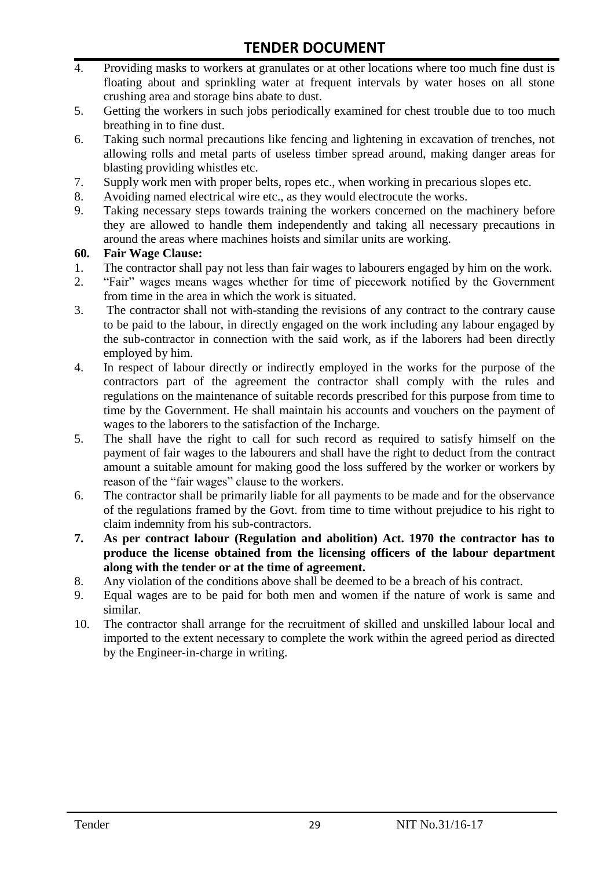- 4. Providing masks to workers at granulates or at other locations where too much fine dust is floating about and sprinkling water at frequent intervals by water hoses on all stone crushing area and storage bins abate to dust.
- 5. Getting the workers in such jobs periodically examined for chest trouble due to too much breathing in to fine dust.
- 6. Taking such normal precautions like fencing and lightening in excavation of trenches, not allowing rolls and metal parts of useless timber spread around, making danger areas for blasting providing whistles etc.
- 7. Supply work men with proper belts, ropes etc., when working in precarious slopes etc.
- 8. Avoiding named electrical wire etc., as they would electrocute the works.
- 9. Taking necessary steps towards training the workers concerned on the machinery before they are allowed to handle them independently and taking all necessary precautions in around the areas where machines hoists and similar units are working.

#### **60. Fair Wage Clause:**

- 1. The contractor shall pay not less than fair wages to labourers engaged by him on the work.
- 2. "Fair" wages means wages whether for time of piecework notified by the Government from time in the area in which the work is situated.
- 3. The contractor shall not with-standing the revisions of any contract to the contrary cause to be paid to the labour, in directly engaged on the work including any labour engaged by the sub-contractor in connection with the said work, as if the laborers had been directly employed by him.
- 4. In respect of labour directly or indirectly employed in the works for the purpose of the contractors part of the agreement the contractor shall comply with the rules and regulations on the maintenance of suitable records prescribed for this purpose from time to time by the Government. He shall maintain his accounts and vouchers on the payment of wages to the laborers to the satisfaction of the Incharge.
- 5. The shall have the right to call for such record as required to satisfy himself on the payment of fair wages to the labourers and shall have the right to deduct from the contract amount a suitable amount for making good the loss suffered by the worker or workers by reason of the "fair wages" clause to the workers.
- 6. The contractor shall be primarily liable for all payments to be made and for the observance of the regulations framed by the Govt. from time to time without prejudice to his right to claim indemnity from his sub-contractors.
- **7. As per contract labour (Regulation and abolition) Act. 1970 the contractor has to produce the license obtained from the licensing officers of the labour department along with the tender or at the time of agreement.**
- 8. Any violation of the conditions above shall be deemed to be a breach of his contract.
- 9. Equal wages are to be paid for both men and women if the nature of work is same and similar.
- 10. The contractor shall arrange for the recruitment of skilled and unskilled labour local and imported to the extent necessary to complete the work within the agreed period as directed by the Engineer-in-charge in writing.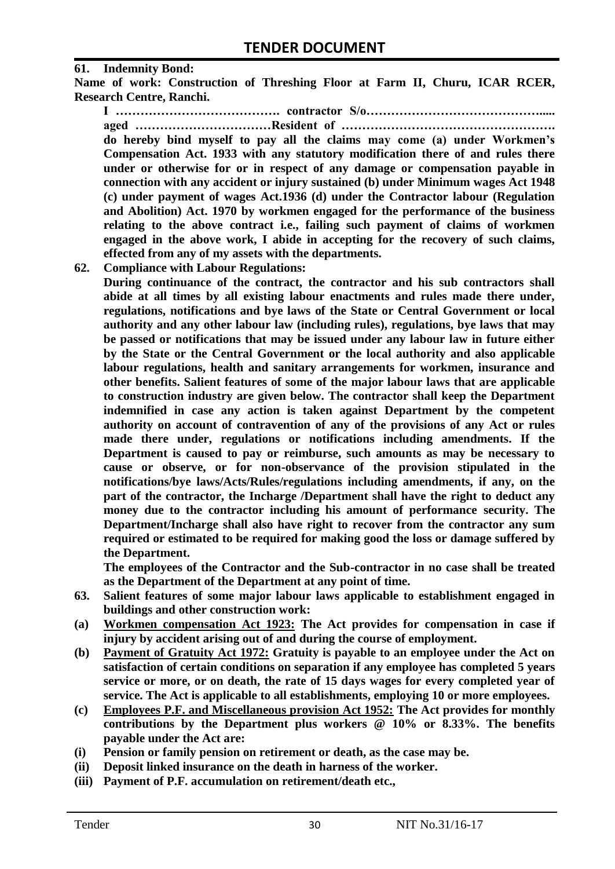#### **61. Indemnity Bond:**

**Name of work: Construction of Threshing Floor at Farm II, Churu, ICAR RCER, Research Centre, Ranchi.**

**I …………………………………. contractor S/o……………………………………..... aged ……………………………Resident of ……………………………………………. do hereby bind myself to pay all the claims may come (a) under Workmen's Compensation Act. 1933 with any statutory modification there of and rules there under or otherwise for or in respect of any damage or compensation payable in connection with any accident or injury sustained (b) under Minimum wages Act 1948 (c) under payment of wages Act.1936 (d) under the Contractor labour (Regulation and Abolition) Act. 1970 by workmen engaged for the performance of the business relating to the above contract i.e., failing such payment of claims of workmen engaged in the above work, I abide in accepting for the recovery of such claims, effected from any of my assets with the departments.**

**62. Compliance with Labour Regulations:**

**During continuance of the contract, the contractor and his sub contractors shall abide at all times by all existing labour enactments and rules made there under, regulations, notifications and bye laws of the State or Central Government or local authority and any other labour law (including rules), regulations, bye laws that may be passed or notifications that may be issued under any labour law in future either by the State or the Central Government or the local authority and also applicable labour regulations, health and sanitary arrangements for workmen, insurance and other benefits. Salient features of some of the major labour laws that are applicable to construction industry are given below. The contractor shall keep the Department indemnified in case any action is taken against Department by the competent authority on account of contravention of any of the provisions of any Act or rules made there under, regulations or notifications including amendments. If the Department is caused to pay or reimburse, such amounts as may be necessary to cause or observe, or for non-observance of the provision stipulated in the notifications/bye laws/Acts/Rules/regulations including amendments, if any, on the part of the contractor, the Incharge /Department shall have the right to deduct any money due to the contractor including his amount of performance security. The Department/Incharge shall also have right to recover from the contractor any sum required or estimated to be required for making good the loss or damage suffered by the Department.**

**The employees of the Contractor and the Sub-contractor in no case shall be treated as the Department of the Department at any point of time.**

- **63. Salient features of some major labour laws applicable to establishment engaged in buildings and other construction work:**
- **(a) Workmen compensation Act 1923: The Act provides for compensation in case if injury by accident arising out of and during the course of employment.**
- **(b) Payment of Gratuity Act 1972: Gratuity is payable to an employee under the Act on satisfaction of certain conditions on separation if any employee has completed 5 years service or more, or on death, the rate of 15 days wages for every completed year of service. The Act is applicable to all establishments, employing 10 or more employees.**
- **(c) Employees P.F. and Miscellaneous provision Act 1952: The Act provides for monthly contributions by the Department plus workers @ 10% or 8.33%. The benefits payable under the Act are:**
- **(i) Pension or family pension on retirement or death, as the case may be.**
- **(ii) Deposit linked insurance on the death in harness of the worker.**
- **(iii) Payment of P.F. accumulation on retirement/death etc.,**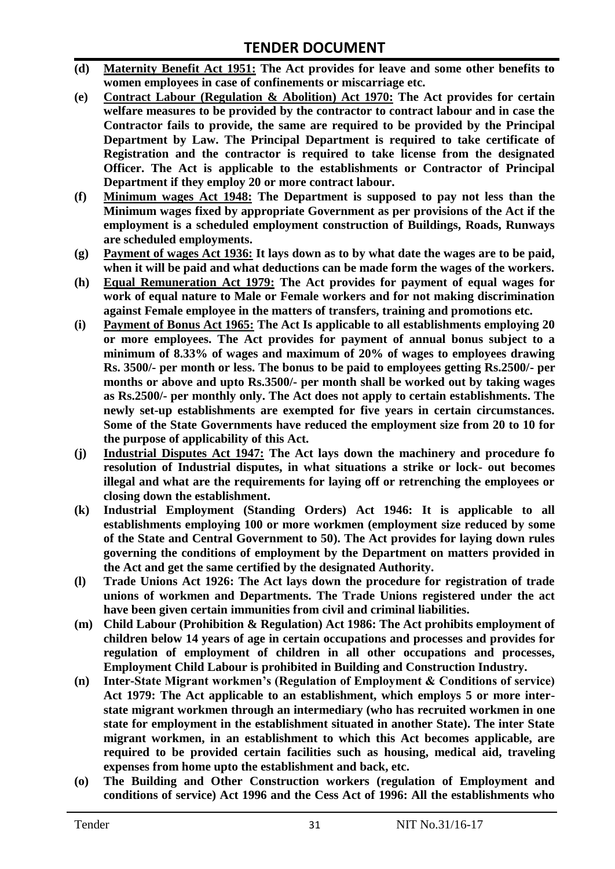- **(d) Maternity Benefit Act 1951: The Act provides for leave and some other benefits to women employees in case of confinements or miscarriage etc.**
- **(e) Contract Labour (Regulation & Abolition) Act 1970: The Act provides for certain welfare measures to be provided by the contractor to contract labour and in case the Contractor fails to provide, the same are required to be provided by the Principal Department by Law. The Principal Department is required to take certificate of Registration and the contractor is required to take license from the designated Officer. The Act is applicable to the establishments or Contractor of Principal Department if they employ 20 or more contract labour.**
- **(f) Minimum wages Act 1948: The Department is supposed to pay not less than the Minimum wages fixed by appropriate Government as per provisions of the Act if the employment is a scheduled employment construction of Buildings, Roads, Runways are scheduled employments.**
- **(g) Payment of wages Act 1936: It lays down as to by what date the wages are to be paid, when it will be paid and what deductions can be made form the wages of the workers.**
- **(h) Equal Remuneration Act 1979: The Act provides for payment of equal wages for work of equal nature to Male or Female workers and for not making discrimination against Female employee in the matters of transfers, training and promotions etc.**
- **(i) Payment of Bonus Act 1965: The Act Is applicable to all establishments employing 20 or more employees. The Act provides for payment of annual bonus subject to a minimum of 8.33% of wages and maximum of 20% of wages to employees drawing Rs. 3500/- per month or less. The bonus to be paid to employees getting Rs.2500/- per months or above and upto Rs.3500/- per month shall be worked out by taking wages as Rs.2500/- per monthly only. The Act does not apply to certain establishments. The newly set-up establishments are exempted for five years in certain circumstances. Some of the State Governments have reduced the employment size from 20 to 10 for the purpose of applicability of this Act.**
- **(j) Industrial Disputes Act 1947: The Act lays down the machinery and procedure fo resolution of Industrial disputes, in what situations a strike or lock- out becomes illegal and what are the requirements for laying off or retrenching the employees or closing down the establishment.**
- **(k) Industrial Employment (Standing Orders) Act 1946: It is applicable to all establishments employing 100 or more workmen (employment size reduced by some of the State and Central Government to 50). The Act provides for laying down rules governing the conditions of employment by the Department on matters provided in the Act and get the same certified by the designated Authority.**
- **(l) Trade Unions Act 1926: The Act lays down the procedure for registration of trade unions of workmen and Departments. The Trade Unions registered under the act have been given certain immunities from civil and criminal liabilities.**
- **(m) Child Labour (Prohibition & Regulation) Act 1986: The Act prohibits employment of children below 14 years of age in certain occupations and processes and provides for regulation of employment of children in all other occupations and processes, Employment Child Labour is prohibited in Building and Construction Industry.**
- **(n) Inter-State Migrant workmen's (Regulation of Employment & Conditions of service) Act 1979: The Act applicable to an establishment, which employs 5 or more interstate migrant workmen through an intermediary (who has recruited workmen in one state for employment in the establishment situated in another State). The inter State migrant workmen, in an establishment to which this Act becomes applicable, are required to be provided certain facilities such as housing, medical aid, traveling expenses from home upto the establishment and back, etc.**
- **(o) The Building and Other Construction workers (regulation of Employment and conditions of service) Act 1996 and the Cess Act of 1996: All the establishments who**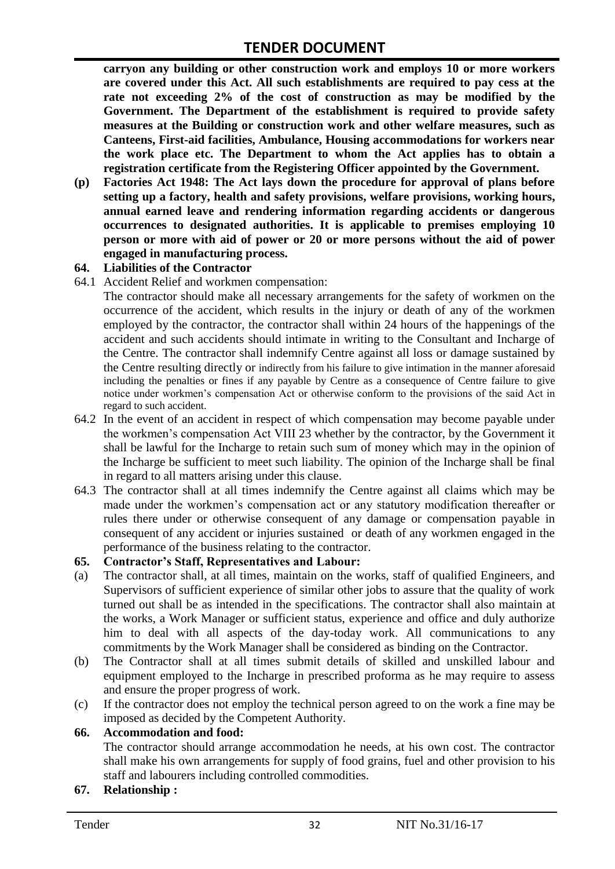**carryon any building or other construction work and employs 10 or more workers are covered under this Act. All such establishments are required to pay cess at the rate not exceeding 2% of the cost of construction as may be modified by the Government. The Department of the establishment is required to provide safety measures at the Building or construction work and other welfare measures, such as Canteens, First-aid facilities, Ambulance, Housing accommodations for workers near the work place etc. The Department to whom the Act applies has to obtain a registration certificate from the Registering Officer appointed by the Government.**

**(p) Factories Act 1948: The Act lays down the procedure for approval of plans before setting up a factory, health and safety provisions, welfare provisions, working hours, annual earned leave and rendering information regarding accidents or dangerous occurrences to designated authorities. It is applicable to premises employing 10 person or more with aid of power or 20 or more persons without the aid of power engaged in manufacturing process.**

#### **64. Liabilities of the Contractor**

64.1 Accident Relief and workmen compensation:

The contractor should make all necessary arrangements for the safety of workmen on the occurrence of the accident, which results in the injury or death of any of the workmen employed by the contractor, the contractor shall within 24 hours of the happenings of the accident and such accidents should intimate in writing to the Consultant and Incharge of the Centre. The contractor shall indemnify Centre against all loss or damage sustained by the Centre resulting directly or indirectly from his failure to give intimation in the manner aforesaid including the penalties or fines if any payable by Centre as a consequence of Centre failure to give notice under workmen"s compensation Act or otherwise conform to the provisions of the said Act in regard to such accident.

- 64.2 In the event of an accident in respect of which compensation may become payable under the workmen"s compensation Act VIII 23 whether by the contractor, by the Government it shall be lawful for the Incharge to retain such sum of money which may in the opinion of the Incharge be sufficient to meet such liability. The opinion of the Incharge shall be final in regard to all matters arising under this clause.
- 64.3 The contractor shall at all times indemnify the Centre against all claims which may be made under the workmen"s compensation act or any statutory modification thereafter or rules there under or otherwise consequent of any damage or compensation payable in consequent of any accident or injuries sustained or death of any workmen engaged in the performance of the business relating to the contractor.

#### **65. Contractor's Staff, Representatives and Labour:**

- (a) The contractor shall, at all times, maintain on the works, staff of qualified Engineers, and Supervisors of sufficient experience of similar other jobs to assure that the quality of work turned out shall be as intended in the specifications. The contractor shall also maintain at the works, a Work Manager or sufficient status, experience and office and duly authorize him to deal with all aspects of the day-today work. All communications to any commitments by the Work Manager shall be considered as binding on the Contractor.
- (b) The Contractor shall at all times submit details of skilled and unskilled labour and equipment employed to the Incharge in prescribed proforma as he may require to assess and ensure the proper progress of work.
- (c) If the contractor does not employ the technical person agreed to on the work a fine may be imposed as decided by the Competent Authority.

#### **66. Accommodation and food:**

The contractor should arrange accommodation he needs, at his own cost. The contractor shall make his own arrangements for supply of food grains, fuel and other provision to his staff and labourers including controlled commodities.

#### **67. Relationship :**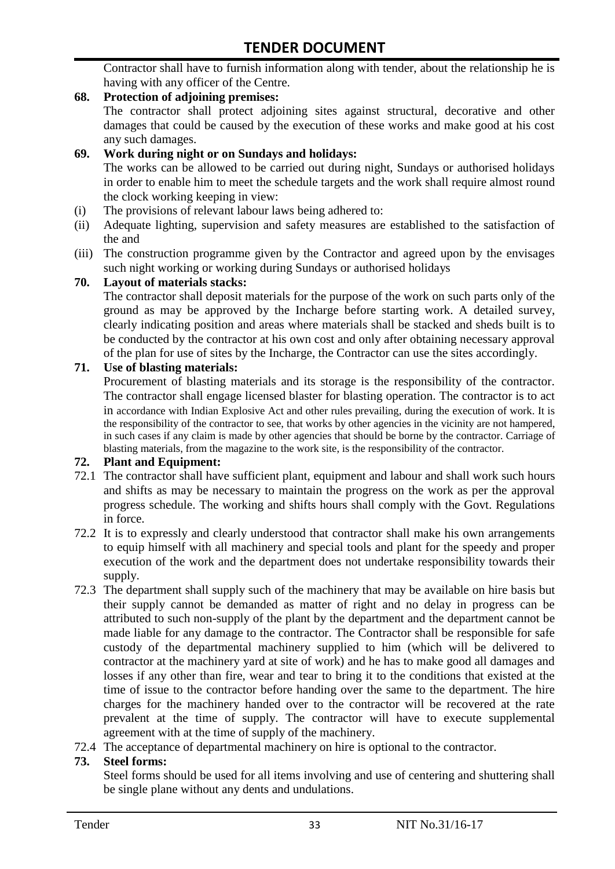Contractor shall have to furnish information along with tender, about the relationship he is having with any officer of the Centre.

### **68. Protection of adjoining premises:**

The contractor shall protect adjoining sites against structural, decorative and other damages that could be caused by the execution of these works and make good at his cost any such damages.

#### **69. Work during night or on Sundays and holidays:**

The works can be allowed to be carried out during night, Sundays or authorised holidays in order to enable him to meet the schedule targets and the work shall require almost round the clock working keeping in view:

- (i) The provisions of relevant labour laws being adhered to:
- (ii) Adequate lighting, supervision and safety measures are established to the satisfaction of the and
- (iii) The construction programme given by the Contractor and agreed upon by the envisages such night working or working during Sundays or authorised holidays

#### **70. Layout of materials stacks:**

The contractor shall deposit materials for the purpose of the work on such parts only of the ground as may be approved by the Incharge before starting work. A detailed survey, clearly indicating position and areas where materials shall be stacked and sheds built is to be conducted by the contractor at his own cost and only after obtaining necessary approval of the plan for use of sites by the Incharge, the Contractor can use the sites accordingly.

#### **71. Use of blasting materials:**

Procurement of blasting materials and its storage is the responsibility of the contractor. The contractor shall engage licensed blaster for blasting operation. The contractor is to act in accordance with Indian Explosive Act and other rules prevailing, during the execution of work. It is the responsibility of the contractor to see, that works by other agencies in the vicinity are not hampered, in such cases if any claim is made by other agencies that should be borne by the contractor. Carriage of blasting materials, from the magazine to the work site, is the responsibility of the contractor.

#### **72. Plant and Equipment:**

- 72.1 The contractor shall have sufficient plant, equipment and labour and shall work such hours and shifts as may be necessary to maintain the progress on the work as per the approval progress schedule. The working and shifts hours shall comply with the Govt. Regulations in force.
- 72.2 It is to expressly and clearly understood that contractor shall make his own arrangements to equip himself with all machinery and special tools and plant for the speedy and proper execution of the work and the department does not undertake responsibility towards their supply.
- 72.3 The department shall supply such of the machinery that may be available on hire basis but their supply cannot be demanded as matter of right and no delay in progress can be attributed to such non-supply of the plant by the department and the department cannot be made liable for any damage to the contractor. The Contractor shall be responsible for safe custody of the departmental machinery supplied to him (which will be delivered to contractor at the machinery yard at site of work) and he has to make good all damages and losses if any other than fire, wear and tear to bring it to the conditions that existed at the time of issue to the contractor before handing over the same to the department. The hire charges for the machinery handed over to the contractor will be recovered at the rate prevalent at the time of supply. The contractor will have to execute supplemental agreement with at the time of supply of the machinery.
- 72.4 The acceptance of departmental machinery on hire is optional to the contractor.

#### **73. Steel forms:**

Steel forms should be used for all items involving and use of centering and shuttering shall be single plane without any dents and undulations.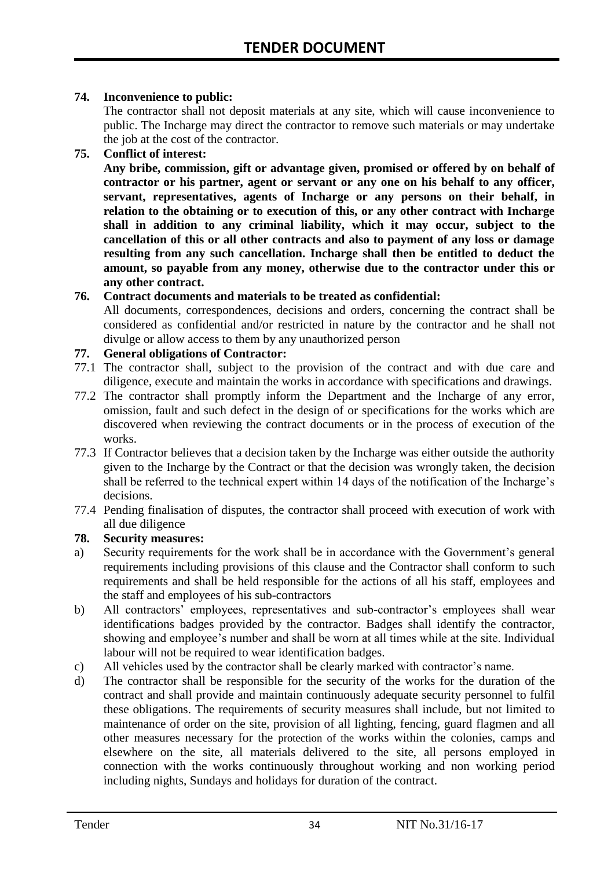#### **74. Inconvenience to public:**

The contractor shall not deposit materials at any site, which will cause inconvenience to public. The Incharge may direct the contractor to remove such materials or may undertake the job at the cost of the contractor.

#### **75. Conflict of interest:**

**Any bribe, commission, gift or advantage given, promised or offered by on behalf of contractor or his partner, agent or servant or any one on his behalf to any officer, servant, representatives, agents of Incharge or any persons on their behalf, in relation to the obtaining or to execution of this, or any other contract with Incharge shall in addition to any criminal liability, which it may occur, subject to the cancellation of this or all other contracts and also to payment of any loss or damage resulting from any such cancellation. Incharge shall then be entitled to deduct the amount, so payable from any money, otherwise due to the contractor under this or any other contract.**

#### **76. Contract documents and materials to be treated as confidential:**

All documents, correspondences, decisions and orders, concerning the contract shall be considered as confidential and/or restricted in nature by the contractor and he shall not divulge or allow access to them by any unauthorized person

#### **77. General obligations of Contractor:**

- 77.1 The contractor shall, subject to the provision of the contract and with due care and diligence, execute and maintain the works in accordance with specifications and drawings.
- 77.2 The contractor shall promptly inform the Department and the Incharge of any error, omission, fault and such defect in the design of or specifications for the works which are discovered when reviewing the contract documents or in the process of execution of the works.
- 77.3 If Contractor believes that a decision taken by the Incharge was either outside the authority given to the Incharge by the Contract or that the decision was wrongly taken, the decision shall be referred to the technical expert within 14 days of the notification of the Incharge's decisions.
- 77.4 Pending finalisation of disputes, the contractor shall proceed with execution of work with all due diligence

### **78. Security measures:**

- a) Security requirements for the work shall be in accordance with the Government"s general requirements including provisions of this clause and the Contractor shall conform to such requirements and shall be held responsible for the actions of all his staff, employees and the staff and employees of his sub-contractors
- b) All contractors' employees, representatives and sub-contractor's employees shall wear identifications badges provided by the contractor. Badges shall identify the contractor, showing and employee's number and shall be worn at all times while at the site. Individual labour will not be required to wear identification badges.
- c) All vehicles used by the contractor shall be clearly marked with contractor"s name.
- d) The contractor shall be responsible for the security of the works for the duration of the contract and shall provide and maintain continuously adequate security personnel to fulfil these obligations. The requirements of security measures shall include, but not limited to maintenance of order on the site, provision of all lighting, fencing, guard flagmen and all other measures necessary for the protection of the works within the colonies, camps and elsewhere on the site, all materials delivered to the site, all persons employed in connection with the works continuously throughout working and non working period including nights, Sundays and holidays for duration of the contract.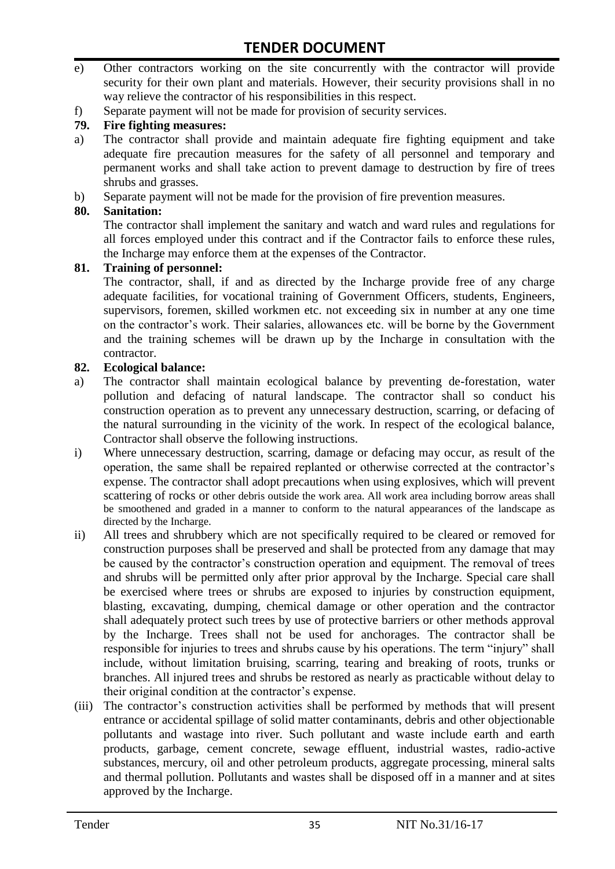- e) Other contractors working on the site concurrently with the contractor will provide security for their own plant and materials. However, their security provisions shall in no way relieve the contractor of his responsibilities in this respect.
- f) Separate payment will not be made for provision of security services.

#### **79. Fire fighting measures:**

- a) The contractor shall provide and maintain adequate fire fighting equipment and take adequate fire precaution measures for the safety of all personnel and temporary and permanent works and shall take action to prevent damage to destruction by fire of trees shrubs and grasses.
- b) Separate payment will not be made for the provision of fire prevention measures.

#### **80. Sanitation:**

The contractor shall implement the sanitary and watch and ward rules and regulations for all forces employed under this contract and if the Contractor fails to enforce these rules, the Incharge may enforce them at the expenses of the Contractor.

#### **81. Training of personnel:**

The contractor, shall, if and as directed by the Incharge provide free of any charge adequate facilities, for vocational training of Government Officers, students, Engineers, supervisors, foremen, skilled workmen etc. not exceeding six in number at any one time on the contractor"s work. Their salaries, allowances etc. will be borne by the Government and the training schemes will be drawn up by the Incharge in consultation with the contractor.

#### **82. Ecological balance:**

- a) The contractor shall maintain ecological balance by preventing de-forestation, water pollution and defacing of natural landscape. The contractor shall so conduct his construction operation as to prevent any unnecessary destruction, scarring, or defacing of the natural surrounding in the vicinity of the work. In respect of the ecological balance, Contractor shall observe the following instructions.
- i) Where unnecessary destruction, scarring, damage or defacing may occur, as result of the operation, the same shall be repaired replanted or otherwise corrected at the contractor"s expense. The contractor shall adopt precautions when using explosives, which will prevent scattering of rocks or other debris outside the work area. All work area including borrow areas shall be smoothened and graded in a manner to conform to the natural appearances of the landscape as directed by the Incharge.
- ii) All trees and shrubbery which are not specifically required to be cleared or removed for construction purposes shall be preserved and shall be protected from any damage that may be caused by the contractor's construction operation and equipment. The removal of trees and shrubs will be permitted only after prior approval by the Incharge. Special care shall be exercised where trees or shrubs are exposed to injuries by construction equipment, blasting, excavating, dumping, chemical damage or other operation and the contractor shall adequately protect such trees by use of protective barriers or other methods approval by the Incharge. Trees shall not be used for anchorages. The contractor shall be responsible for injuries to trees and shrubs cause by his operations. The term "injury" shall include, without limitation bruising, scarring, tearing and breaking of roots, trunks or branches. All injured trees and shrubs be restored as nearly as practicable without delay to their original condition at the contractor"s expense.
- (iii) The contractor's construction activities shall be performed by methods that will present entrance or accidental spillage of solid matter contaminants, debris and other objectionable pollutants and wastage into river. Such pollutant and waste include earth and earth products, garbage, cement concrete, sewage effluent, industrial wastes, radio-active substances, mercury, oil and other petroleum products, aggregate processing, mineral salts and thermal pollution. Pollutants and wastes shall be disposed off in a manner and at sites approved by the Incharge.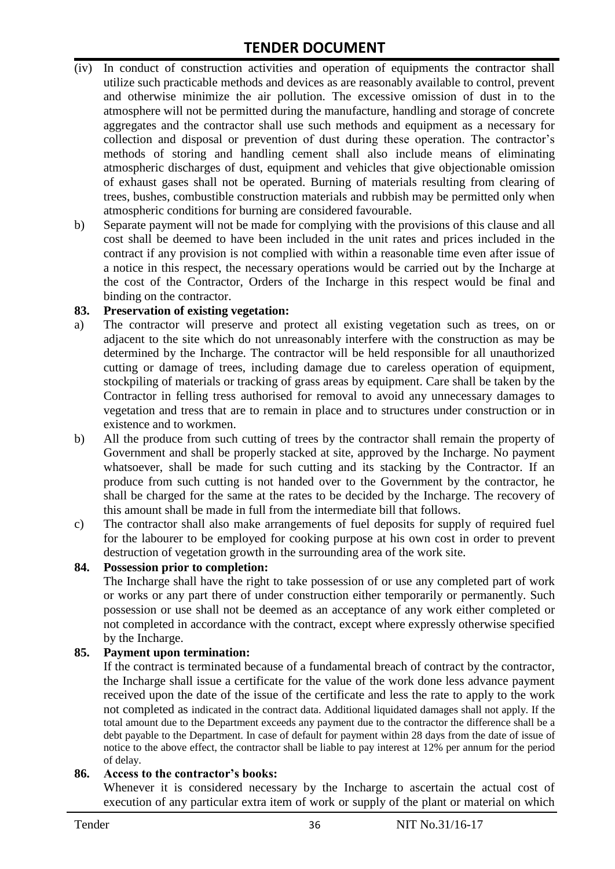# **TENDER DOCUMENT**

- (iv) In conduct of construction activities and operation of equipments the contractor shall utilize such practicable methods and devices as are reasonably available to control, prevent and otherwise minimize the air pollution. The excessive omission of dust in to the atmosphere will not be permitted during the manufacture, handling and storage of concrete aggregates and the contractor shall use such methods and equipment as a necessary for collection and disposal or prevention of dust during these operation. The contractor's methods of storing and handling cement shall also include means of eliminating atmospheric discharges of dust, equipment and vehicles that give objectionable omission of exhaust gases shall not be operated. Burning of materials resulting from clearing of trees, bushes, combustible construction materials and rubbish may be permitted only when atmospheric conditions for burning are considered favourable.
- b) Separate payment will not be made for complying with the provisions of this clause and all cost shall be deemed to have been included in the unit rates and prices included in the contract if any provision is not complied with within a reasonable time even after issue of a notice in this respect, the necessary operations would be carried out by the Incharge at the cost of the Contractor, Orders of the Incharge in this respect would be final and binding on the contractor.

#### **83. Preservation of existing vegetation:**

- a) The contractor will preserve and protect all existing vegetation such as trees, on or adjacent to the site which do not unreasonably interfere with the construction as may be determined by the Incharge. The contractor will be held responsible for all unauthorized cutting or damage of trees, including damage due to careless operation of equipment, stockpiling of materials or tracking of grass areas by equipment. Care shall be taken by the Contractor in felling tress authorised for removal to avoid any unnecessary damages to vegetation and tress that are to remain in place and to structures under construction or in existence and to workmen.
- b) All the produce from such cutting of trees by the contractor shall remain the property of Government and shall be properly stacked at site, approved by the Incharge. No payment whatsoever, shall be made for such cutting and its stacking by the Contractor. If an produce from such cutting is not handed over to the Government by the contractor, he shall be charged for the same at the rates to be decided by the Incharge. The recovery of this amount shall be made in full from the intermediate bill that follows.
- c) The contractor shall also make arrangements of fuel deposits for supply of required fuel for the labourer to be employed for cooking purpose at his own cost in order to prevent destruction of vegetation growth in the surrounding area of the work site.

#### **84. Possession prior to completion:**

The Incharge shall have the right to take possession of or use any completed part of work or works or any part there of under construction either temporarily or permanently. Such possession or use shall not be deemed as an acceptance of any work either completed or not completed in accordance with the contract, except where expressly otherwise specified by the Incharge.

#### **85. Payment upon termination:**

If the contract is terminated because of a fundamental breach of contract by the contractor, the Incharge shall issue a certificate for the value of the work done less advance payment received upon the date of the issue of the certificate and less the rate to apply to the work not completed as indicated in the contract data. Additional liquidated damages shall not apply. If the total amount due to the Department exceeds any payment due to the contractor the difference shall be a debt payable to the Department. In case of default for payment within 28 days from the date of issue of notice to the above effect, the contractor shall be liable to pay interest at 12% per annum for the period of delay.

#### **86. Access to the contractor's books:**

Whenever it is considered necessary by the Incharge to ascertain the actual cost of execution of any particular extra item of work or supply of the plant or material on which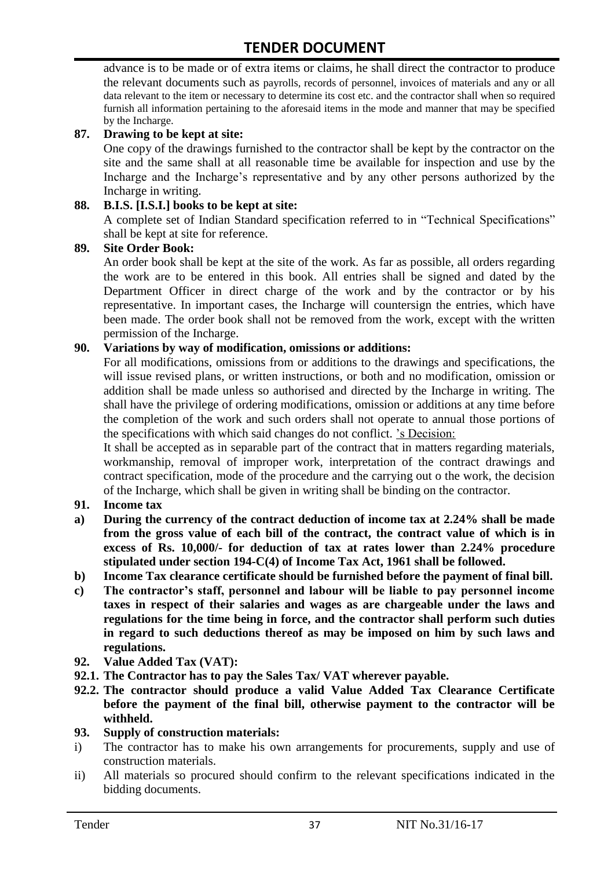advance is to be made or of extra items or claims, he shall direct the contractor to produce the relevant documents such as payrolls, records of personnel, invoices of materials and any or all data relevant to the item or necessary to determine its cost etc. and the contractor shall when so required furnish all information pertaining to the aforesaid items in the mode and manner that may be specified by the Incharge.

#### **87. Drawing to be kept at site:**

One copy of the drawings furnished to the contractor shall be kept by the contractor on the site and the same shall at all reasonable time be available for inspection and use by the Incharge and the Incharge"s representative and by any other persons authorized by the Incharge in writing.

#### **88. B.I.S. [I.S.I.] books to be kept at site:**

A complete set of Indian Standard specification referred to in "Technical Specifications" shall be kept at site for reference.

#### **89. Site Order Book:**

An order book shall be kept at the site of the work. As far as possible, all orders regarding the work are to be entered in this book. All entries shall be signed and dated by the Department Officer in direct charge of the work and by the contractor or by his representative. In important cases, the Incharge will countersign the entries, which have been made. The order book shall not be removed from the work, except with the written permission of the Incharge.

#### **90. Variations by way of modification, omissions or additions:**

For all modifications, omissions from or additions to the drawings and specifications, the will issue revised plans, or written instructions, or both and no modification, omission or addition shall be made unless so authorised and directed by the Incharge in writing. The shall have the privilege of ordering modifications, omission or additions at any time before the completion of the work and such orders shall not operate to annual those portions of the specifications with which said changes do not conflict. "s Decision:

It shall be accepted as in separable part of the contract that in matters regarding materials, workmanship, removal of improper work, interpretation of the contract drawings and contract specification, mode of the procedure and the carrying out o the work, the decision of the Incharge, which shall be given in writing shall be binding on the contractor.

#### **91. Income tax**

- **a) During the currency of the contract deduction of income tax at 2.24% shall be made from the gross value of each bill of the contract, the contract value of which is in excess of Rs. 10,000/- for deduction of tax at rates lower than 2.24% procedure stipulated under section 194-C(4) of Income Tax Act, 1961 shall be followed.**
- **b) Income Tax clearance certificate should be furnished before the payment of final bill.**
- **c) The contractor's staff, personnel and labour will be liable to pay personnel income taxes in respect of their salaries and wages as are chargeable under the laws and regulations for the time being in force, and the contractor shall perform such duties in regard to such deductions thereof as may be imposed on him by such laws and regulations.**
- **92. Value Added Tax (VAT):**
- **92.1. The Contractor has to pay the Sales Tax/ VAT wherever payable.**
- **92.2. The contractor should produce a valid Value Added Tax Clearance Certificate before the payment of the final bill, otherwise payment to the contractor will be withheld.**
- **93. Supply of construction materials:**
- i) The contractor has to make his own arrangements for procurements, supply and use of construction materials.
- ii) All materials so procured should confirm to the relevant specifications indicated in the bidding documents.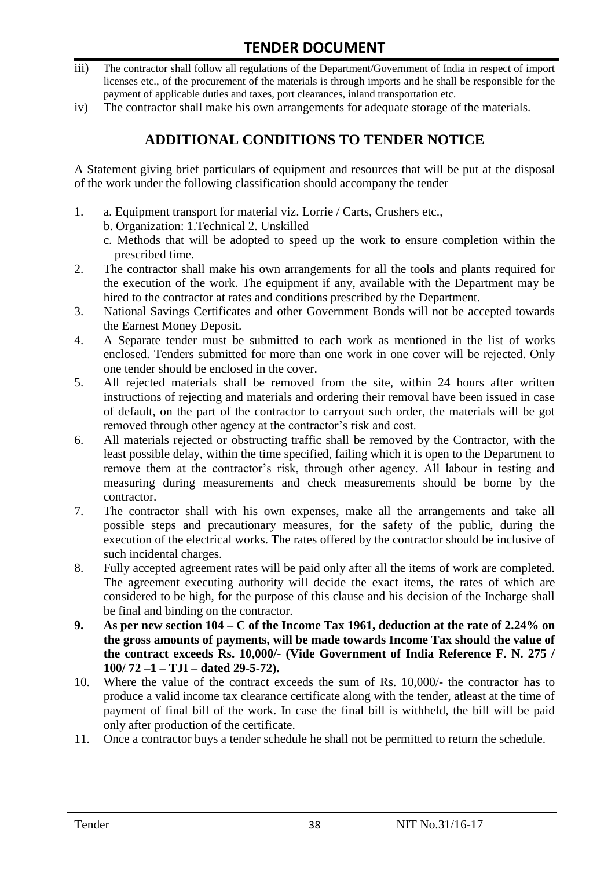- iii) The contractor shall follow all regulations of the Department/Government of India in respect of import licenses etc., of the procurement of the materials is through imports and he shall be responsible for the payment of applicable duties and taxes, port clearances, inland transportation etc.
- iv) The contractor shall make his own arrangements for adequate storage of the materials.

# **ADDITIONAL CONDITIONS TO TENDER NOTICE**

A Statement giving brief particulars of equipment and resources that will be put at the disposal of the work under the following classification should accompany the tender

- 1. a. Equipment transport for material viz. Lorrie / Carts, Crushers etc.,
	- b. Organization: 1.Technical 2. Unskilled
		- c. Methods that will be adopted to speed up the work to ensure completion within the prescribed time.
- 2. The contractor shall make his own arrangements for all the tools and plants required for the execution of the work. The equipment if any, available with the Department may be hired to the contractor at rates and conditions prescribed by the Department.
- 3. National Savings Certificates and other Government Bonds will not be accepted towards the Earnest Money Deposit.
- 4. A Separate tender must be submitted to each work as mentioned in the list of works enclosed. Tenders submitted for more than one work in one cover will be rejected. Only one tender should be enclosed in the cover.
- 5. All rejected materials shall be removed from the site, within 24 hours after written instructions of rejecting and materials and ordering their removal have been issued in case of default, on the part of the contractor to carryout such order, the materials will be got removed through other agency at the contractor's risk and cost.
- 6. All materials rejected or obstructing traffic shall be removed by the Contractor, with the least possible delay, within the time specified, failing which it is open to the Department to remove them at the contractor's risk, through other agency. All labour in testing and measuring during measurements and check measurements should be borne by the contractor.
- 7. The contractor shall with his own expenses, make all the arrangements and take all possible steps and precautionary measures, for the safety of the public, during the execution of the electrical works. The rates offered by the contractor should be inclusive of such incidental charges.
- 8. Fully accepted agreement rates will be paid only after all the items of work are completed. The agreement executing authority will decide the exact items, the rates of which are considered to be high, for the purpose of this clause and his decision of the Incharge shall be final and binding on the contractor.
- **9. As per new section 104 – C of the Income Tax 1961, deduction at the rate of 2.24% on the gross amounts of payments, will be made towards Income Tax should the value of the contract exceeds Rs. 10,000/- (Vide Government of India Reference F. N. 275 / 100/ 72 –1 – TJI – dated 29-5-72).**
- 10. Where the value of the contract exceeds the sum of Rs. 10,000/- the contractor has to produce a valid income tax clearance certificate along with the tender, atleast at the time of payment of final bill of the work. In case the final bill is withheld, the bill will be paid only after production of the certificate.
- 11. Once a contractor buys a tender schedule he shall not be permitted to return the schedule.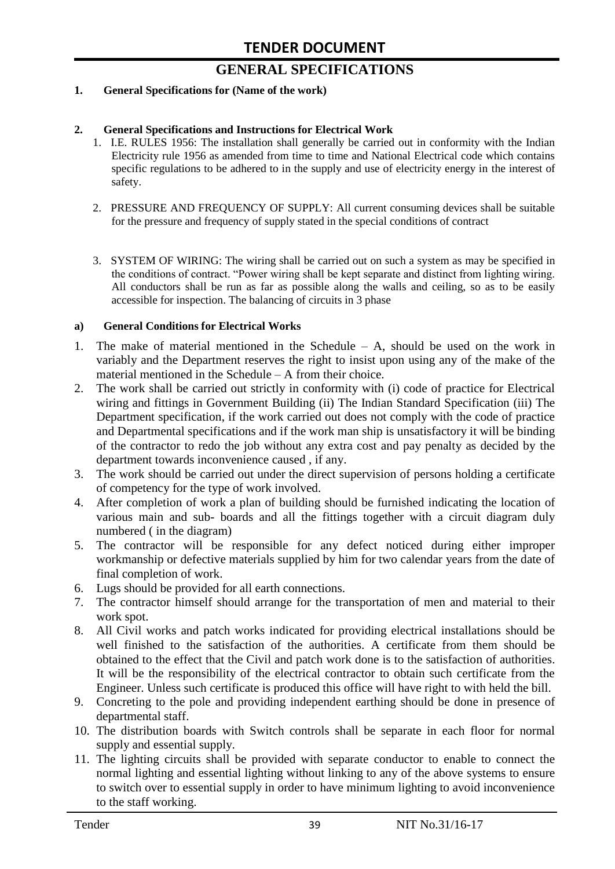# **GENERAL SPECIFICATIONS**

#### **1. General Specifications for (Name of the work)**

#### **2. General Specifications and Instructions for Electrical Work**

- 1. I.E. RULES 1956: The installation shall generally be carried out in conformity with the Indian Electricity rule 1956 as amended from time to time and National Electrical code which contains specific regulations to be adhered to in the supply and use of electricity energy in the interest of safety.
- 2. PRESSURE AND FREQUENCY OF SUPPLY: All current consuming devices shall be suitable for the pressure and frequency of supply stated in the special conditions of contract
- 3. SYSTEM OF WIRING: The wiring shall be carried out on such a system as may be specified in the conditions of contract. "Power wiring shall be kept separate and distinct from lighting wiring. All conductors shall be run as far as possible along the walls and ceiling, so as to be easily accessible for inspection. The balancing of circuits in 3 phase

#### **a) General Conditions for Electrical Works**

- 1. The make of material mentioned in the Schedule A, should be used on the work in variably and the Department reserves the right to insist upon using any of the make of the material mentioned in the Schedule – A from their choice.
- 2. The work shall be carried out strictly in conformity with (i) code of practice for Electrical wiring and fittings in Government Building (ii) The Indian Standard Specification (iii) The Department specification, if the work carried out does not comply with the code of practice and Departmental specifications and if the work man ship is unsatisfactory it will be binding of the contractor to redo the job without any extra cost and pay penalty as decided by the department towards inconvenience caused , if any.
- 3. The work should be carried out under the direct supervision of persons holding a certificate of competency for the type of work involved.
- 4. After completion of work a plan of building should be furnished indicating the location of various main and sub- boards and all the fittings together with a circuit diagram duly numbered ( in the diagram)
- 5. The contractor will be responsible for any defect noticed during either improper workmanship or defective materials supplied by him for two calendar years from the date of final completion of work.
- 6. Lugs should be provided for all earth connections.
- 7. The contractor himself should arrange for the transportation of men and material to their work spot.
- 8. All Civil works and patch works indicated for providing electrical installations should be well finished to the satisfaction of the authorities. A certificate from them should be obtained to the effect that the Civil and patch work done is to the satisfaction of authorities. It will be the responsibility of the electrical contractor to obtain such certificate from the Engineer. Unless such certificate is produced this office will have right to with held the bill.
- 9. Concreting to the pole and providing independent earthing should be done in presence of departmental staff.
- 10. The distribution boards with Switch controls shall be separate in each floor for normal supply and essential supply.
- 11. The lighting circuits shall be provided with separate conductor to enable to connect the normal lighting and essential lighting without linking to any of the above systems to ensure to switch over to essential supply in order to have minimum lighting to avoid inconvenience to the staff working.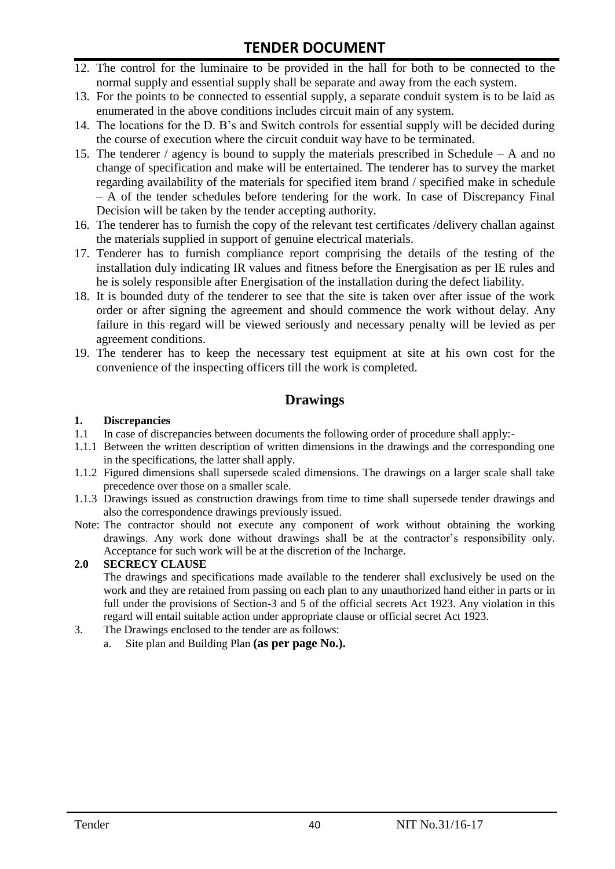# **TENDER DOCUMENT**

- 12. The control for the luminaire to be provided in the hall for both to be connected to the normal supply and essential supply shall be separate and away from the each system.
- 13. For the points to be connected to essential supply, a separate conduit system is to be laid as enumerated in the above conditions includes circuit main of any system.
- 14. The locations for the D. B"s and Switch controls for essential supply will be decided during the course of execution where the circuit conduit way have to be terminated.
- 15. The tenderer / agency is bound to supply the materials prescribed in Schedule A and no change of specification and make will be entertained. The tenderer has to survey the market regarding availability of the materials for specified item brand / specified make in schedule – A of the tender schedules before tendering for the work. In case of Discrepancy Final Decision will be taken by the tender accepting authority.
- 16. The tenderer has to furnish the copy of the relevant test certificates /delivery challan against the materials supplied in support of genuine electrical materials.
- 17. Tenderer has to furnish compliance report comprising the details of the testing of the installation duly indicating IR values and fitness before the Energisation as per IE rules and he is solely responsible after Energisation of the installation during the defect liability.
- 18. It is bounded duty of the tenderer to see that the site is taken over after issue of the work order or after signing the agreement and should commence the work without delay. Any failure in this regard will be viewed seriously and necessary penalty will be levied as per agreement conditions.
- 19. The tenderer has to keep the necessary test equipment at site at his own cost for the convenience of the inspecting officers till the work is completed.

## **Drawings**

#### **1. Discrepancies**

- 1.1 In case of discrepancies between documents the following order of procedure shall apply:-
- 1.1.1 Between the written description of written dimensions in the drawings and the corresponding one in the specifications, the latter shall apply.
- 1.1.2 Figured dimensions shall supersede scaled dimensions. The drawings on a larger scale shall take precedence over those on a smaller scale.
- 1.1.3 Drawings issued as construction drawings from time to time shall supersede tender drawings and also the correspondence drawings previously issued.
- Note: The contractor should not execute any component of work without obtaining the working drawings. Any work done without drawings shall be at the contractor"s responsibility only. Acceptance for such work will be at the discretion of the Incharge.

#### **2.0 SECRECY CLAUSE**

The drawings and specifications made available to the tenderer shall exclusively be used on the work and they are retained from passing on each plan to any unauthorized hand either in parts or in full under the provisions of Section-3 and 5 of the official secrets Act 1923. Any violation in this regard will entail suitable action under appropriate clause or official secret Act 1923.

- 3. The Drawings enclosed to the tender are as follows:
	- a. Site plan and Building Plan **(as per page No.).**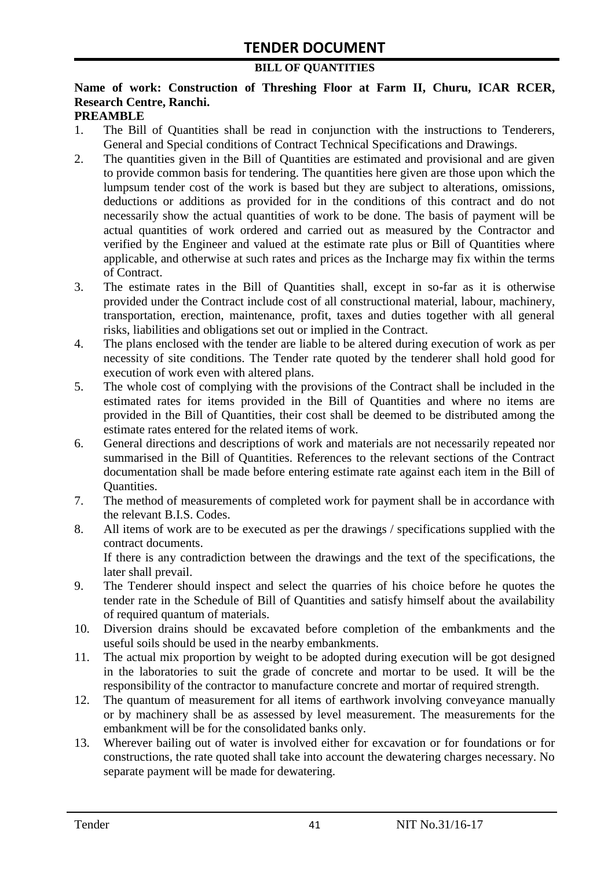#### **BILL OF QUANTITIES**

# **Name of work: Construction of Threshing Floor at Farm II, Churu, ICAR RCER, Research Centre, Ranchi.**

#### **PREAMBLE**

- 1. The Bill of Quantities shall be read in conjunction with the instructions to Tenderers, General and Special conditions of Contract Technical Specifications and Drawings.
- 2. The quantities given in the Bill of Quantities are estimated and provisional and are given to provide common basis for tendering. The quantities here given are those upon which the lumpsum tender cost of the work is based but they are subject to alterations, omissions, deductions or additions as provided for in the conditions of this contract and do not necessarily show the actual quantities of work to be done. The basis of payment will be actual quantities of work ordered and carried out as measured by the Contractor and verified by the Engineer and valued at the estimate rate plus or Bill of Quantities where applicable, and otherwise at such rates and prices as the Incharge may fix within the terms of Contract.
- 3. The estimate rates in the Bill of Quantities shall, except in so-far as it is otherwise provided under the Contract include cost of all constructional material, labour, machinery, transportation, erection, maintenance, profit, taxes and duties together with all general risks, liabilities and obligations set out or implied in the Contract.
- 4. The plans enclosed with the tender are liable to be altered during execution of work as per necessity of site conditions. The Tender rate quoted by the tenderer shall hold good for execution of work even with altered plans.
- 5. The whole cost of complying with the provisions of the Contract shall be included in the estimated rates for items provided in the Bill of Quantities and where no items are provided in the Bill of Quantities, their cost shall be deemed to be distributed among the estimate rates entered for the related items of work.
- 6. General directions and descriptions of work and materials are not necessarily repeated nor summarised in the Bill of Quantities. References to the relevant sections of the Contract documentation shall be made before entering estimate rate against each item in the Bill of Quantities.
- 7. The method of measurements of completed work for payment shall be in accordance with the relevant B.I.S. Codes.
- 8. All items of work are to be executed as per the drawings / specifications supplied with the contract documents. If there is any contradiction between the drawings and the text of the specifications, the

later shall prevail.

- 9. The Tenderer should inspect and select the quarries of his choice before he quotes the tender rate in the Schedule of Bill of Quantities and satisfy himself about the availability of required quantum of materials.
- 10. Diversion drains should be excavated before completion of the embankments and the useful soils should be used in the nearby embankments.
- 11. The actual mix proportion by weight to be adopted during execution will be got designed in the laboratories to suit the grade of concrete and mortar to be used. It will be the responsibility of the contractor to manufacture concrete and mortar of required strength.
- 12. The quantum of measurement for all items of earthwork involving conveyance manually or by machinery shall be as assessed by level measurement. The measurements for the embankment will be for the consolidated banks only.
- 13. Wherever bailing out of water is involved either for excavation or for foundations or for constructions, the rate quoted shall take into account the dewatering charges necessary. No separate payment will be made for dewatering.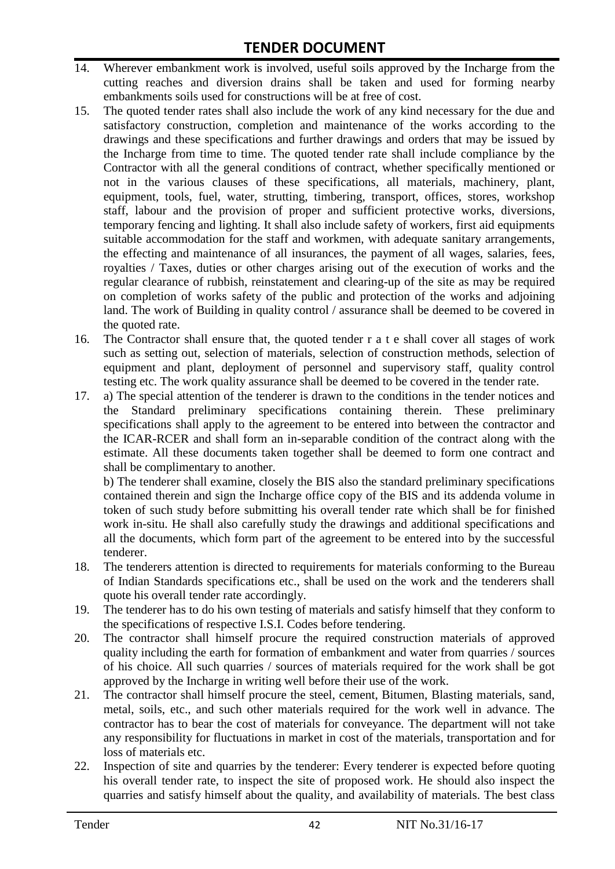- 14. Wherever embankment work is involved, useful soils approved by the Incharge from the cutting reaches and diversion drains shall be taken and used for forming nearby embankments soils used for constructions will be at free of cost.
- 15. The quoted tender rates shall also include the work of any kind necessary for the due and satisfactory construction, completion and maintenance of the works according to the drawings and these specifications and further drawings and orders that may be issued by the Incharge from time to time. The quoted tender rate shall include compliance by the Contractor with all the general conditions of contract, whether specifically mentioned or not in the various clauses of these specifications, all materials, machinery, plant, equipment, tools, fuel, water, strutting, timbering, transport, offices, stores, workshop staff, labour and the provision of proper and sufficient protective works, diversions, temporary fencing and lighting. It shall also include safety of workers, first aid equipments suitable accommodation for the staff and workmen, with adequate sanitary arrangements, the effecting and maintenance of all insurances, the payment of all wages, salaries, fees, royalties / Taxes, duties or other charges arising out of the execution of works and the regular clearance of rubbish, reinstatement and clearing-up of the site as may be required on completion of works safety of the public and protection of the works and adjoining land. The work of Building in quality control / assurance shall be deemed to be covered in the quoted rate.
- 16. The Contractor shall ensure that, the quoted tender r a t e shall cover all stages of work such as setting out, selection of materials, selection of construction methods, selection of equipment and plant, deployment of personnel and supervisory staff, quality control testing etc. The work quality assurance shall be deemed to be covered in the tender rate.
- 17. a) The special attention of the tenderer is drawn to the conditions in the tender notices and the Standard preliminary specifications containing therein. These preliminary specifications shall apply to the agreement to be entered into between the contractor and the ICAR-RCER and shall form an in-separable condition of the contract along with the estimate. All these documents taken together shall be deemed to form one contract and shall be complimentary to another.

b) The tenderer shall examine, closely the BIS also the standard preliminary specifications contained therein and sign the Incharge office copy of the BIS and its addenda volume in token of such study before submitting his overall tender rate which shall be for finished work in-situ. He shall also carefully study the drawings and additional specifications and all the documents, which form part of the agreement to be entered into by the successful tenderer.

- 18. The tenderers attention is directed to requirements for materials conforming to the Bureau of Indian Standards specifications etc., shall be used on the work and the tenderers shall quote his overall tender rate accordingly.
- 19. The tenderer has to do his own testing of materials and satisfy himself that they conform to the specifications of respective I.S.I. Codes before tendering.
- 20. The contractor shall himself procure the required construction materials of approved quality including the earth for formation of embankment and water from quarries / sources of his choice. All such quarries / sources of materials required for the work shall be got approved by the Incharge in writing well before their use of the work.
- 21. The contractor shall himself procure the steel, cement, Bitumen, Blasting materials, sand, metal, soils, etc., and such other materials required for the work well in advance. The contractor has to bear the cost of materials for conveyance. The department will not take any responsibility for fluctuations in market in cost of the materials, transportation and for loss of materials etc.
- 22. Inspection of site and quarries by the tenderer: Every tenderer is expected before quoting his overall tender rate, to inspect the site of proposed work. He should also inspect the quarries and satisfy himself about the quality, and availability of materials. The best class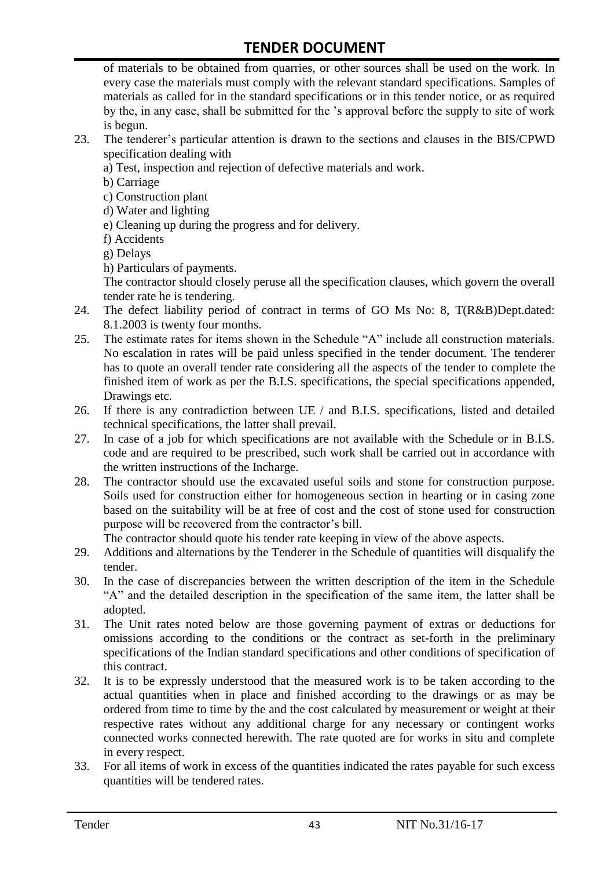of materials to be obtained from quarries, or other sources shall be used on the work. In every case the materials must comply with the relevant standard specifications. Samples of materials as called for in the standard specifications or in this tender notice, or as required by the, in any case, shall be submitted for the "s approval before the supply to site of work is begun.

- 23. The tenderer"s particular attention is drawn to the sections and clauses in the BIS/CPWD specification dealing with
	- a) Test, inspection and rejection of defective materials and work.
	- b) Carriage
	- c) Construction plant
	- d) Water and lighting
	- e) Cleaning up during the progress and for delivery.
	- f) Accidents
	- g) Delays
	- h) Particulars of payments.

The contractor should closely peruse all the specification clauses, which govern the overall tender rate he is tendering.

- 24. The defect liability period of contract in terms of GO Ms No: 8, T(R&B)Dept.dated: 8.1.2003 is twenty four months.
- 25. The estimate rates for items shown in the Schedule "A" include all construction materials. No escalation in rates will be paid unless specified in the tender document. The tenderer has to quote an overall tender rate considering all the aspects of the tender to complete the finished item of work as per the B.I.S. specifications, the special specifications appended, Drawings etc.
- 26. If there is any contradiction between UE / and B.I.S. specifications, listed and detailed technical specifications, the latter shall prevail.
- 27. In case of a job for which specifications are not available with the Schedule or in B.I.S. code and are required to be prescribed, such work shall be carried out in accordance with the written instructions of the Incharge.
- 28. The contractor should use the excavated useful soils and stone for construction purpose. Soils used for construction either for homogeneous section in hearting or in casing zone based on the suitability will be at free of cost and the cost of stone used for construction purpose will be recovered from the contractor's bill.

The contractor should quote his tender rate keeping in view of the above aspects.

- 29. Additions and alternations by the Tenderer in the Schedule of quantities will disqualify the tender.
- 30. In the case of discrepancies between the written description of the item in the Schedule "A" and the detailed description in the specification of the same item, the latter shall be adopted.
- 31. The Unit rates noted below are those governing payment of extras or deductions for omissions according to the conditions or the contract as set-forth in the preliminary specifications of the Indian standard specifications and other conditions of specification of this contract.
- 32. It is to be expressly understood that the measured work is to be taken according to the actual quantities when in place and finished according to the drawings or as may be ordered from time to time by the and the cost calculated by measurement or weight at their respective rates without any additional charge for any necessary or contingent works connected works connected herewith. The rate quoted are for works in situ and complete in every respect.
- 33. For all items of work in excess of the quantities indicated the rates payable for such excess quantities will be tendered rates.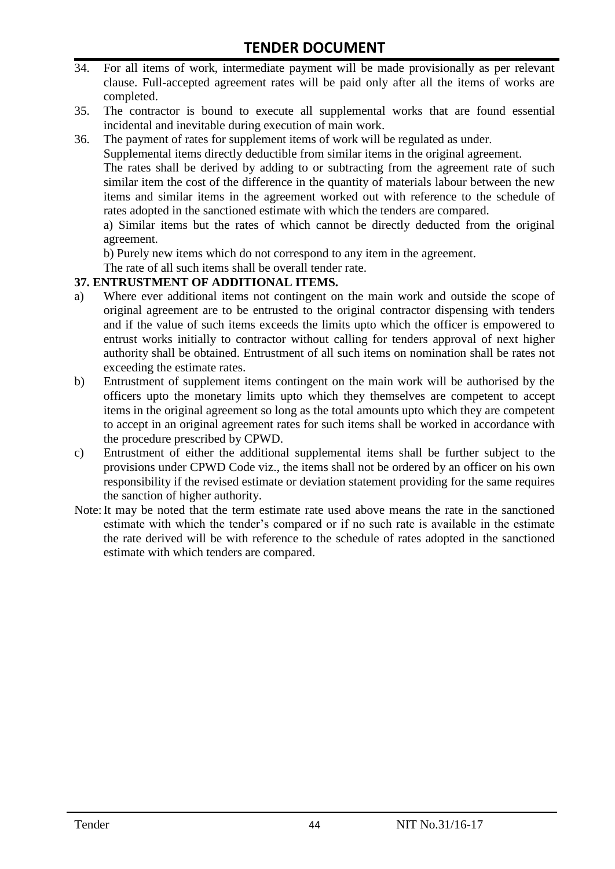- 34. For all items of work, intermediate payment will be made provisionally as per relevant clause. Full-accepted agreement rates will be paid only after all the items of works are completed.
- 35. The contractor is bound to execute all supplemental works that are found essential incidental and inevitable during execution of main work.
- 36. The payment of rates for supplement items of work will be regulated as under.

Supplemental items directly deductible from similar items in the original agreement.

The rates shall be derived by adding to or subtracting from the agreement rate of such similar item the cost of the difference in the quantity of materials labour between the new items and similar items in the agreement worked out with reference to the schedule of rates adopted in the sanctioned estimate with which the tenders are compared.

a) Similar items but the rates of which cannot be directly deducted from the original agreement.

b) Purely new items which do not correspond to any item in the agreement.

The rate of all such items shall be overall tender rate.

#### **37. ENTRUSTMENT OF ADDITIONAL ITEMS.**

- a) Where ever additional items not contingent on the main work and outside the scope of original agreement are to be entrusted to the original contractor dispensing with tenders and if the value of such items exceeds the limits upto which the officer is empowered to entrust works initially to contractor without calling for tenders approval of next higher authority shall be obtained. Entrustment of all such items on nomination shall be rates not exceeding the estimate rates.
- b) Entrustment of supplement items contingent on the main work will be authorised by the officers upto the monetary limits upto which they themselves are competent to accept items in the original agreement so long as the total amounts upto which they are competent to accept in an original agreement rates for such items shall be worked in accordance with the procedure prescribed by CPWD.
- c) Entrustment of either the additional supplemental items shall be further subject to the provisions under CPWD Code viz., the items shall not be ordered by an officer on his own responsibility if the revised estimate or deviation statement providing for the same requires the sanction of higher authority.
- Note:It may be noted that the term estimate rate used above means the rate in the sanctioned estimate with which the tender"s compared or if no such rate is available in the estimate the rate derived will be with reference to the schedule of rates adopted in the sanctioned estimate with which tenders are compared.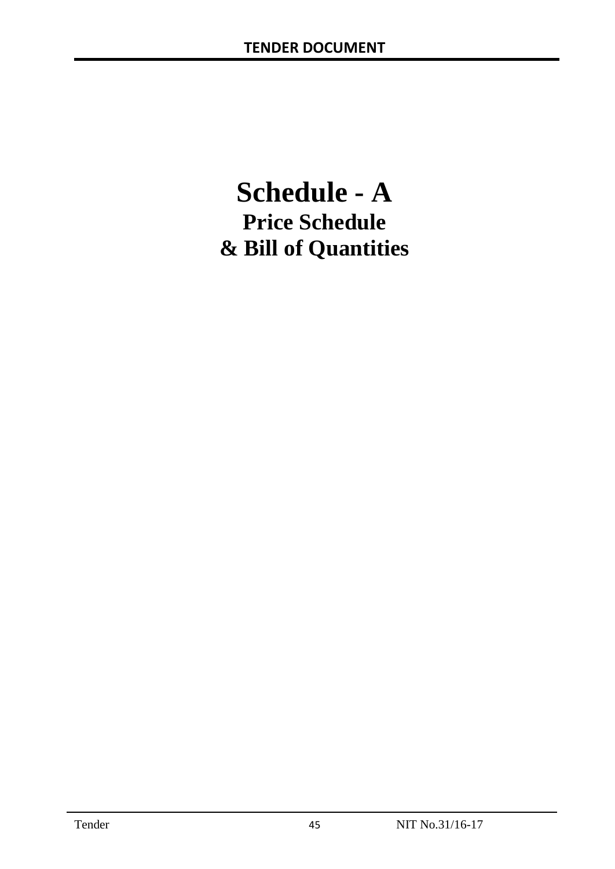# **Schedule - A Price Schedule & Bill of Quantities**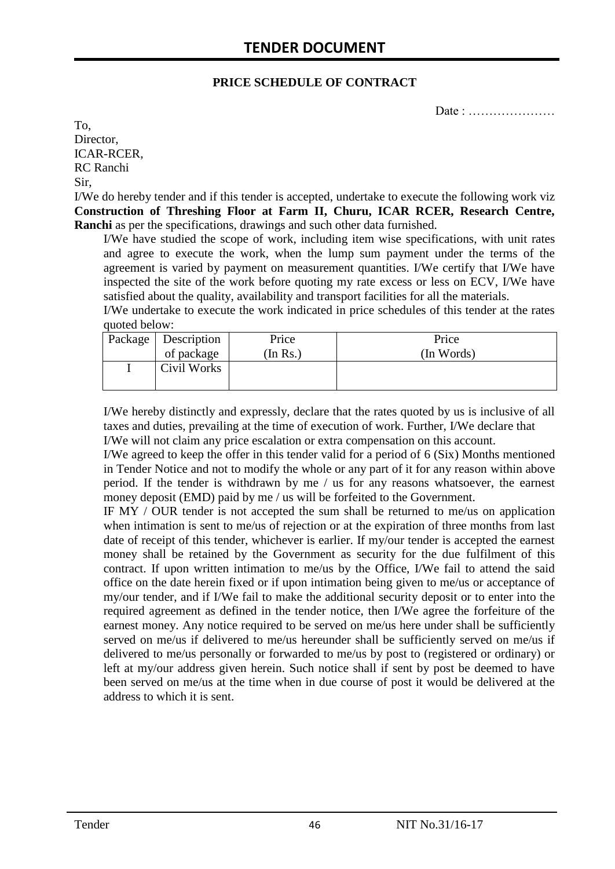#### **PRICE SCHEDULE OF CONTRACT**

Date : …………………

To, Director, ICAR-RCER, RC Ranchi Sir,

I/We do hereby tender and if this tender is accepted, undertake to execute the following work viz **Construction of Threshing Floor at Farm II, Churu, ICAR RCER, Research Centre, Ranchi** as per the specifications, drawings and such other data furnished.

I/We have studied the scope of work, including item wise specifications, with unit rates and agree to execute the work, when the lump sum payment under the terms of the agreement is varied by payment on measurement quantities. I/We certify that I/We have inspected the site of the work before quoting my rate excess or less on ECV, I/We have satisfied about the quality, availability and transport facilities for all the materials.

I/We undertake to execute the work indicated in price schedules of this tender at the rates quoted below:

| Package | Description | Price    | Price      |
|---------|-------------|----------|------------|
|         | of package  | (In Rs.) | (In Words) |
|         | Civil Works |          |            |
|         |             |          |            |

I/We hereby distinctly and expressly, declare that the rates quoted by us is inclusive of all taxes and duties, prevailing at the time of execution of work. Further, I/We declare that I/We will not claim any price escalation or extra compensation on this account.

I/We agreed to keep the offer in this tender valid for a period of 6 (Six) Months mentioned in Tender Notice and not to modify the whole or any part of it for any reason within above period. If the tender is withdrawn by me / us for any reasons whatsoever, the earnest money deposit (EMD) paid by me / us will be forfeited to the Government.

IF MY / OUR tender is not accepted the sum shall be returned to me/us on application when intimation is sent to me/us of rejection or at the expiration of three months from last date of receipt of this tender, whichever is earlier. If my/our tender is accepted the earnest money shall be retained by the Government as security for the due fulfilment of this contract. If upon written intimation to me/us by the Office, I/We fail to attend the said office on the date herein fixed or if upon intimation being given to me/us or acceptance of my/our tender, and if I/We fail to make the additional security deposit or to enter into the required agreement as defined in the tender notice, then I/We agree the forfeiture of the earnest money. Any notice required to be served on me/us here under shall be sufficiently served on me/us if delivered to me/us hereunder shall be sufficiently served on me/us if delivered to me/us personally or forwarded to me/us by post to (registered or ordinary) or left at my/our address given herein. Such notice shall if sent by post be deemed to have been served on me/us at the time when in due course of post it would be delivered at the address to which it is sent.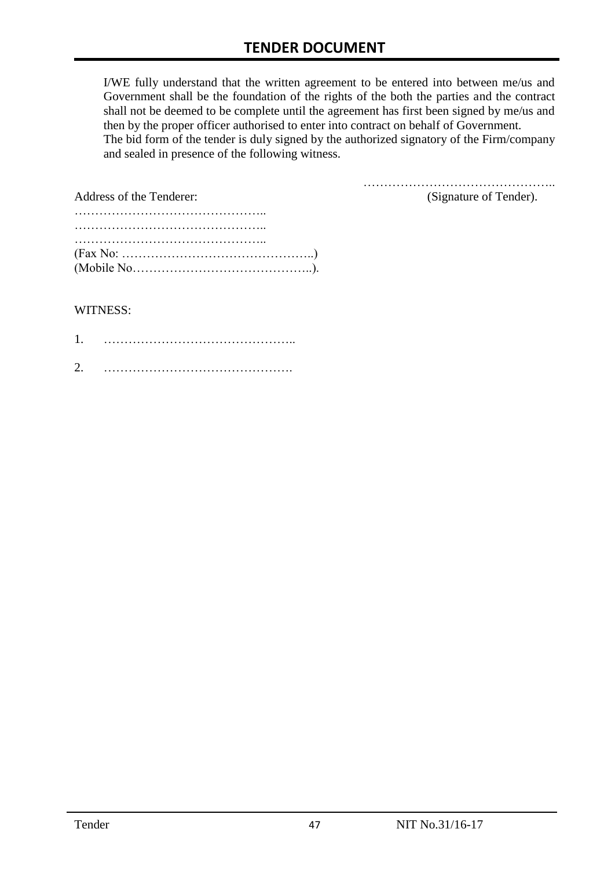I/WE fully understand that the written agreement to be entered into between me/us and Government shall be the foundation of the rights of the both the parties and the contract shall not be deemed to be complete until the agreement has first been signed by me/us and then by the proper officer authorised to enter into contract on behalf of Government. The bid form of the tender is duly signed by the authorized signatory of the Firm/company and sealed in presence of the following witness.

| Address of the Tenderer:                                                                  | (Signature of Tender). |
|-------------------------------------------------------------------------------------------|------------------------|
|                                                                                           |                        |
|                                                                                           |                        |
|                                                                                           |                        |
| $(Fax No: \dots \dots \dots \dots \dots \dots \dots \dots \dots \dots \dots \dots \dots)$ |                        |
|                                                                                           |                        |

#### WITNESS:

| ⌒ |  |
|---|--|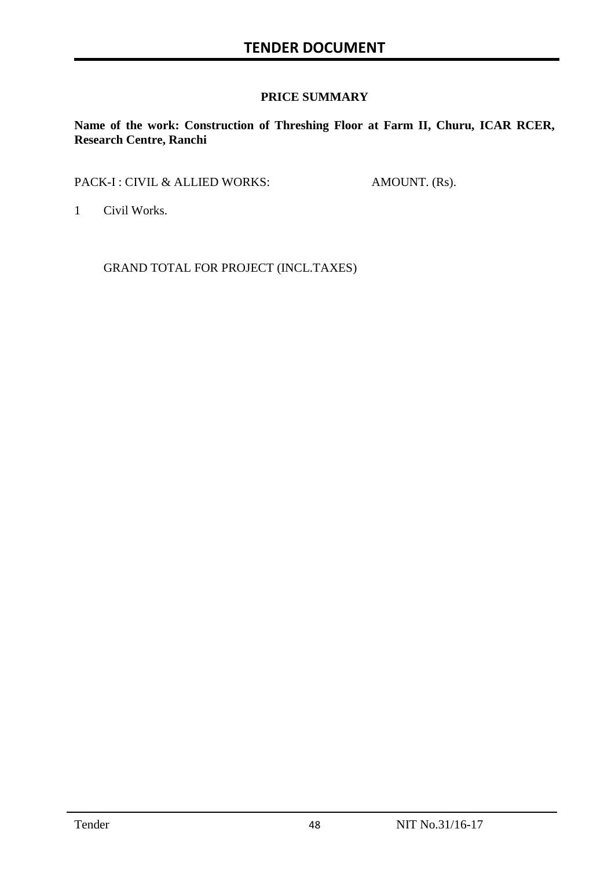#### **PRICE SUMMARY**

**Name of the work: Construction of Threshing Floor at Farm II, Churu, ICAR RCER, Research Centre, Ranchi**

PACK-I : CIVIL & ALLIED WORKS: AMOUNT. (Rs).

1 Civil Works.

GRAND TOTAL FOR PROJECT (INCL.TAXES)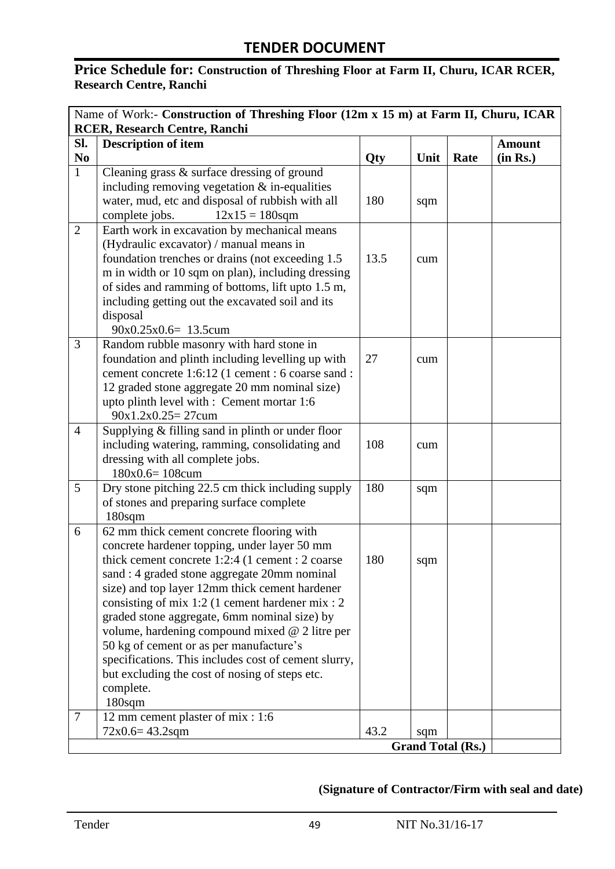# Price Schedule for: Construction of Threshing Floor at Farm II, Churu, ICAR RCER, **Research Centre, Ranchi**

| Name of Work:- Construction of Threshing Floor (12m x 15 m) at Farm II, Churu, ICAR |                                                          |      |      |                          |               |
|-------------------------------------------------------------------------------------|----------------------------------------------------------|------|------|--------------------------|---------------|
| RCER, Research Centre, Ranchi                                                       |                                                          |      |      |                          |               |
| SI.                                                                                 | <b>Description of item</b>                               |      |      |                          | <b>Amount</b> |
| N <sub>0</sub>                                                                      |                                                          | Qty  | Unit | Rate                     | (in Rs.)      |
| $\mathbf{1}$                                                                        | Cleaning grass $\&$ surface dressing of ground           |      |      |                          |               |
|                                                                                     | including removing vegetation $&$ in-equalities          |      |      |                          |               |
|                                                                                     | water, mud, etc and disposal of rubbish with all         | 180  | sqm  |                          |               |
|                                                                                     | complete jobs.<br>$12x15 = 180$ sqm                      |      |      |                          |               |
| $\overline{2}$                                                                      | Earth work in excavation by mechanical means             |      |      |                          |               |
|                                                                                     | (Hydraulic excavator) / manual means in                  |      |      |                          |               |
|                                                                                     | foundation trenches or drains (not exceeding 1.5)        | 13.5 | cum  |                          |               |
|                                                                                     | m in width or 10 sqm on plan), including dressing        |      |      |                          |               |
|                                                                                     | of sides and ramming of bottoms, lift upto 1.5 m,        |      |      |                          |               |
|                                                                                     | including getting out the excavated soil and its         |      |      |                          |               |
|                                                                                     | disposal                                                 |      |      |                          |               |
|                                                                                     | $90x0.25x0.6=13.5cum$                                    |      |      |                          |               |
| 3                                                                                   | Random rubble masonry with hard stone in                 |      |      |                          |               |
|                                                                                     | foundation and plinth including levelling up with        | 27   | cum  |                          |               |
|                                                                                     | cement concrete 1:6:12 (1 cement : 6 coarse sand :       |      |      |                          |               |
|                                                                                     | 12 graded stone aggregate 20 mm nominal size)            |      |      |                          |               |
|                                                                                     | upto plinth level with : Cement mortar 1:6               |      |      |                          |               |
|                                                                                     | $90x1.2x0.25 = 27cum$                                    |      |      |                          |               |
| $\overline{4}$                                                                      | Supplying $&$ filling sand in plinth or under floor      |      |      |                          |               |
|                                                                                     | including watering, ramming, consolidating and           | 108  | cum  |                          |               |
|                                                                                     | dressing with all complete jobs.                         |      |      |                          |               |
|                                                                                     | $180x0.6=108cum$                                         |      |      |                          |               |
| 5                                                                                   | Dry stone pitching 22.5 cm thick including supply        | 180  | sqm  |                          |               |
|                                                                                     | of stones and preparing surface complete                 |      |      |                          |               |
|                                                                                     | 180sqm                                                   |      |      |                          |               |
| 6                                                                                   | 62 mm thick cement concrete flooring with                |      |      |                          |               |
|                                                                                     | concrete hardener topping, under layer 50 mm             |      |      |                          |               |
|                                                                                     | thick cement concrete 1:2:4 (1 cement : 2 coarse         | 180  | sqm  |                          |               |
|                                                                                     | sand : 4 graded stone aggregate 20mm nominal             |      |      |                          |               |
|                                                                                     | size) and top layer 12mm thick cement hardener           |      |      |                          |               |
|                                                                                     | consisting of mix 1:2 (1 cement hardener mix : 2         |      |      |                          |               |
|                                                                                     | graded stone aggregate, 6mm nominal size) by             |      |      |                          |               |
|                                                                                     | volume, hardening compound mixed @ 2 litre per           |      |      |                          |               |
|                                                                                     | 50 kg of cement or as per manufacture's                  |      |      |                          |               |
|                                                                                     | specifications. This includes cost of cement slurry,     |      |      |                          |               |
|                                                                                     | but excluding the cost of nosing of steps etc.           |      |      |                          |               |
|                                                                                     | complete.                                                |      |      |                          |               |
| 7                                                                                   | 180sqm                                                   |      |      |                          |               |
|                                                                                     | 12 mm cement plaster of mix : 1:6<br>$72x0.6 = 43.2$ sqm | 43.2 |      |                          |               |
|                                                                                     |                                                          |      | sqm  | <b>Grand Total (Rs.)</b> |               |
|                                                                                     |                                                          |      |      |                          |               |

## **(Signature of Contractor/Firm with seal and date)**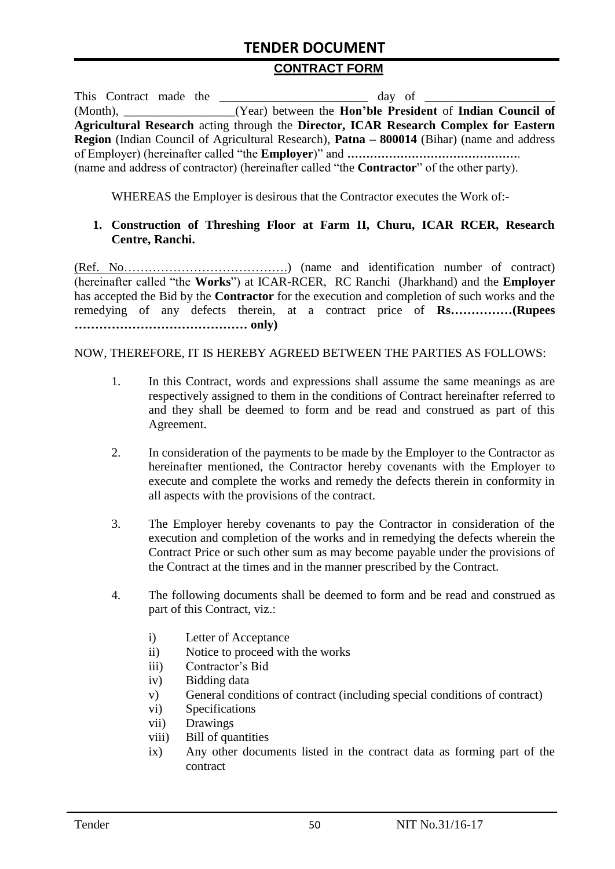# **TENDER DOCUMENT**

#### **CONTRACT FORM**

| This Contract made the                                                                                   |  |                                                                                                       |  |  |  |
|----------------------------------------------------------------------------------------------------------|--|-------------------------------------------------------------------------------------------------------|--|--|--|
|                                                                                                          |  | (Month), _____________________(Year) between the <b>Hon'ble President</b> of <b>Indian Council of</b> |  |  |  |
|                                                                                                          |  | Agricultural Research acting through the Director, ICAR Research Complex for Eastern                  |  |  |  |
| <b>Region</b> (Indian Council of Agricultural Research), <b>Patna – 800014</b> (Bihar) (name and address |  |                                                                                                       |  |  |  |
|                                                                                                          |  |                                                                                                       |  |  |  |
|                                                                                                          |  | (name and address of contractor) (hereinafter called "the <b>Contractor</b> " of the other party).    |  |  |  |

WHEREAS the Employer is desirous that the Contractor executes the Work of:-

#### **1. Construction of Threshing Floor at Farm II, Churu, ICAR RCER, Research Centre, Ranchi.**

(Ref. No………………………………….) (name and identification number of contract) (hereinafter called "the **Works**") at ICAR-RCER, RC Ranchi (Jharkhand) and the **Employer** has accepted the Bid by the **Contractor** for the execution and completion of such works and the remedying of any defects therein, at a contract price of **Rs……………(Rupees …………………………………… only)**

NOW, THEREFORE, IT IS HEREBY AGREED BETWEEN THE PARTIES AS FOLLOWS:

- 1. In this Contract, words and expressions shall assume the same meanings as are respectively assigned to them in the conditions of Contract hereinafter referred to and they shall be deemed to form and be read and construed as part of this Agreement.
- 2. In consideration of the payments to be made by the Employer to the Contractor as hereinafter mentioned, the Contractor hereby covenants with the Employer to execute and complete the works and remedy the defects therein in conformity in all aspects with the provisions of the contract.
- 3. The Employer hereby covenants to pay the Contractor in consideration of the execution and completion of the works and in remedying the defects wherein the Contract Price or such other sum as may become payable under the provisions of the Contract at the times and in the manner prescribed by the Contract.
- 4. The following documents shall be deemed to form and be read and construed as part of this Contract, viz.:
	- i) Letter of Acceptance
	- ii) Notice to proceed with the works
	- iii) Contractor's Bid
	- iv) Bidding data
	- v) General conditions of contract (including special conditions of contract)
	- vi) Specifications
	- vii) Drawings
	- viii) Bill of quantities
	- ix) Any other documents listed in the contract data as forming part of the contract